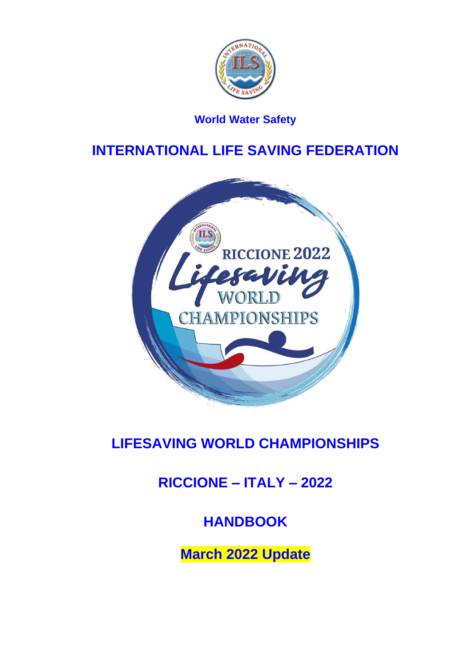

# **World Water Safety**

# **INTERNATIONAL LIFE SAVING FEDERATION**



# **LIFESAVING WORLD CHAMPIONSHIPS**

# **RICCIONE – ITALY – 2022**

# **HANDBOOK**

**March 2022 Update**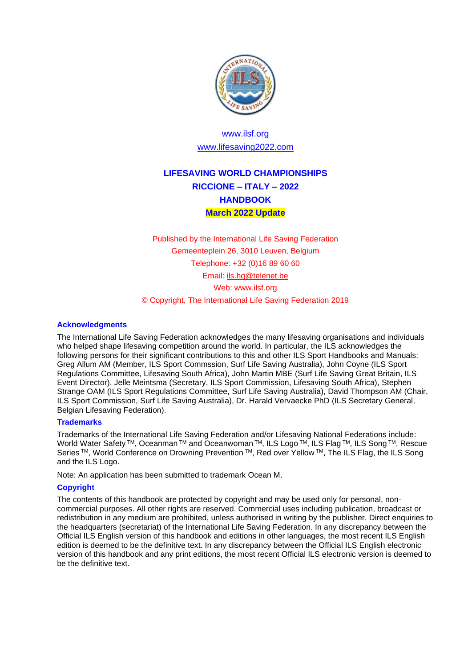

## [www.ilsf.org](http://www.ilsf.org/) [www.lifesaving2022.com](http://www.lifesaving2022.com/)

# **LIFESAVING WORLD CHAMPIONSHIPS RICCIONE – ITALY – 2022 HANDBOOK March 2022 Update**

Published by the International Life Saving Federation Gemeenteplein 26, 3010 Leuven, Belgium Telephone: +32 (0)16 89 60 60 Email: [ils.hq@telenet.be](mailto:ils.hq@telenet.be) Web: www.ilsf.org © Copyright, The International Life Saving Federation 2019

#### **Acknowledgments**

The International Life Saving Federation acknowledges the many lifesaving organisations and individuals who helped shape lifesaving competition around the world. In particular, the ILS acknowledges the following persons for their significant contributions to this and other ILS Sport Handbooks and Manuals: Greg Allum AM (Member, ILS Sport Commssion, Surf Life Saving Australia), John Coyne (ILS Sport Regulations Committee, Lifesaving South Africa), John Martin MBE (Surf Life Saving Great Britain, ILS Event Director), Jelle Meintsma (Secretary, ILS Sport Commission, Lifesaving South Africa), Stephen Strange OAM (ILS Sport Regulations Committee, Surf Life Saving Australia), David Thompson AM (Chair, ILS Sport Commission, Surf Life Saving Australia), Dr. Harald Vervaecke PhD (ILS Secretary General, Belgian Lifesaving Federation).

#### **Trademarks**

Trademarks of the International Life Saving Federation and/or Lifesaving National Federations include: World Water Safety ™, Oceanman ™ and Oceanwoman ™, ILS Logo ™, ILS Flag ™, ILS Song ™, Rescue Series<sup>™,</sup> World Conference on Drowning Prevention<sup>™</sup>, Red over Yellow<sup>™</sup>, The ILS Flag, the ILS Song and the ILS Logo.

Note: An application has been submitted to trademark Ocean M.

#### **Copyright**

The contents of this handbook are protected by copyright and may be used only for personal, noncommercial purposes. All other rights are reserved. Commercial uses including publication, broadcast or redistribution in any medium are prohibited, unless authorised in writing by the publisher. Direct enquiries to the headquarters (secretariat) of the International Life Saving Federation. In any discrepancy between the Official ILS English version of this handbook and editions in other languages, the most recent ILS English edition is deemed to be the definitive text. In any discrepancy between the Official ILS English electronic version of this handbook and any print editions, the most recent Official ILS electronic version is deemed to be the definitive text.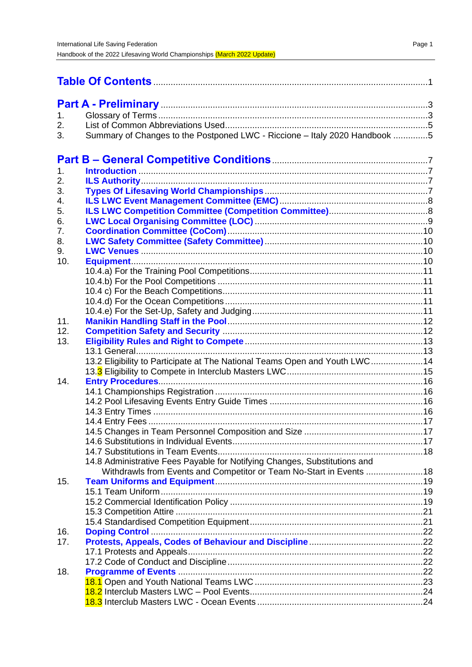| 1.  |                                                                            |  |
|-----|----------------------------------------------------------------------------|--|
| 2.  |                                                                            |  |
| 3.  | Summary of Changes to the Postponed LWC - Riccione - Italy 2020 Handbook 5 |  |
|     |                                                                            |  |
|     |                                                                            |  |
| 1.  |                                                                            |  |
| 2.  |                                                                            |  |
| 3.  |                                                                            |  |
| 4.  |                                                                            |  |
| 5.  |                                                                            |  |
| 6.  |                                                                            |  |
| 7.  |                                                                            |  |
| 8.  |                                                                            |  |
| 9.  |                                                                            |  |
| 10. |                                                                            |  |
|     |                                                                            |  |
|     |                                                                            |  |
|     |                                                                            |  |
|     |                                                                            |  |
|     |                                                                            |  |
| 11. |                                                                            |  |
| 12. |                                                                            |  |
| 13. |                                                                            |  |
|     |                                                                            |  |
|     | 13.2 Eligibility to Participate at The National Teams Open and Youth LWC14 |  |
| 14. |                                                                            |  |
|     |                                                                            |  |
|     |                                                                            |  |
|     |                                                                            |  |
|     |                                                                            |  |
|     |                                                                            |  |
|     |                                                                            |  |
|     |                                                                            |  |
|     | 14.8 Administrative Fees Payable for Notifying Changes, Substitutions and  |  |
|     | Withdrawls from Events and Competitor or Team No-Start in Events 18        |  |
| 15. |                                                                            |  |
|     |                                                                            |  |
|     |                                                                            |  |
|     |                                                                            |  |
|     |                                                                            |  |
|     |                                                                            |  |
| 16. |                                                                            |  |
| 17. |                                                                            |  |
|     |                                                                            |  |
|     |                                                                            |  |
| 18. |                                                                            |  |
|     |                                                                            |  |
|     |                                                                            |  |
|     |                                                                            |  |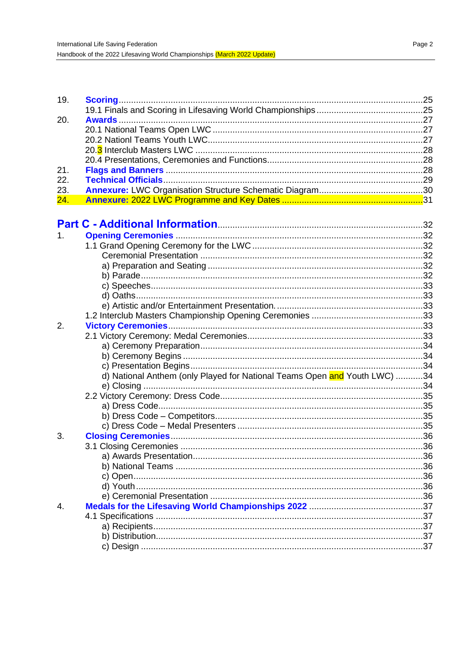| 19.            |                                                                           |     |
|----------------|---------------------------------------------------------------------------|-----|
|                |                                                                           |     |
| 20.            |                                                                           |     |
|                |                                                                           |     |
|                |                                                                           |     |
|                |                                                                           |     |
|                |                                                                           |     |
| 21.            |                                                                           |     |
| 22.            |                                                                           |     |
| 23.            |                                                                           |     |
| 24.            |                                                                           |     |
|                |                                                                           |     |
|                |                                                                           |     |
| 1.             |                                                                           |     |
|                |                                                                           |     |
|                |                                                                           |     |
|                |                                                                           |     |
|                |                                                                           |     |
|                |                                                                           |     |
|                |                                                                           |     |
|                |                                                                           |     |
|                |                                                                           |     |
| 2.             |                                                                           |     |
|                |                                                                           |     |
|                |                                                                           |     |
|                |                                                                           |     |
|                |                                                                           |     |
|                | d) National Anthem (only Played for National Teams Open and Youth LWC) 34 |     |
|                |                                                                           |     |
|                |                                                                           |     |
|                |                                                                           |     |
|                |                                                                           |     |
|                |                                                                           |     |
|                |                                                                           |     |
| 3.             |                                                                           |     |
|                |                                                                           | .36 |
|                |                                                                           |     |
|                |                                                                           |     |
|                |                                                                           |     |
|                |                                                                           |     |
|                |                                                                           |     |
| $\mathbf{4}$ . |                                                                           |     |
|                |                                                                           |     |
|                |                                                                           |     |
|                |                                                                           |     |
|                |                                                                           |     |
|                |                                                                           |     |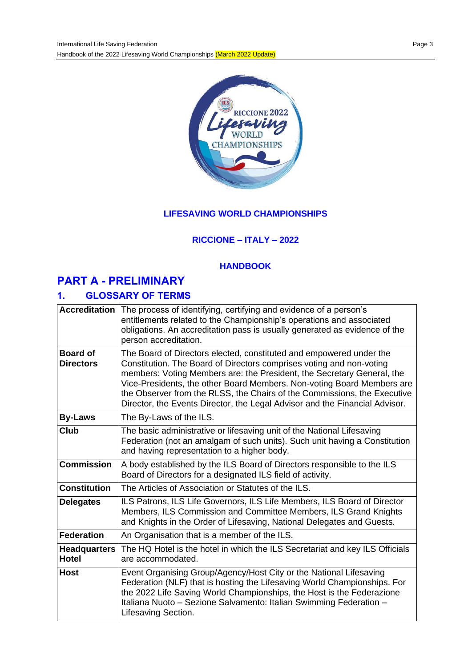

## **LIFESAVING WORLD CHAMPIONSHIPS**

## **RICCIONE – ITALY – 2022**

#### **HANDBOOK**

# **PART A - PRELIMINARY**

# **1. GLOSSARY OF TERMS**

| <b>Accreditation</b>                                                                                                                                                                                                                                                                                                                                                                                                                                                                              | The process of identifying, certifying and evidence of a person's<br>entitlements related to the Championship's operations and associated<br>obligations. An accreditation pass is usually generated as evidence of the<br>person accreditation.                                                                     |
|---------------------------------------------------------------------------------------------------------------------------------------------------------------------------------------------------------------------------------------------------------------------------------------------------------------------------------------------------------------------------------------------------------------------------------------------------------------------------------------------------|----------------------------------------------------------------------------------------------------------------------------------------------------------------------------------------------------------------------------------------------------------------------------------------------------------------------|
| The Board of Directors elected, constituted and empowered under the<br><b>Board of</b><br>Constitution. The Board of Directors comprises voting and non-voting<br><b>Directors</b><br>members: Voting Members are: the President, the Secretary General, the<br>Vice-Presidents, the other Board Members. Non-voting Board Members are<br>the Observer from the RLSS, the Chairs of the Commissions, the Executive<br>Director, the Events Director, the Legal Advisor and the Financial Advisor. |                                                                                                                                                                                                                                                                                                                      |
| <b>By-Laws</b>                                                                                                                                                                                                                                                                                                                                                                                                                                                                                    | The By-Laws of the ILS.                                                                                                                                                                                                                                                                                              |
| Club                                                                                                                                                                                                                                                                                                                                                                                                                                                                                              | The basic administrative or lifesaving unit of the National Lifesaving<br>Federation (not an amalgam of such units). Such unit having a Constitution<br>and having representation to a higher body.                                                                                                                  |
| <b>Commission</b>                                                                                                                                                                                                                                                                                                                                                                                                                                                                                 | A body established by the ILS Board of Directors responsible to the ILS<br>Board of Directors for a designated ILS field of activity.                                                                                                                                                                                |
| <b>Constitution</b>                                                                                                                                                                                                                                                                                                                                                                                                                                                                               | The Articles of Association or Statutes of the ILS.                                                                                                                                                                                                                                                                  |
| <b>Delegates</b>                                                                                                                                                                                                                                                                                                                                                                                                                                                                                  | ILS Patrons, ILS Life Governors, ILS Life Members, ILS Board of Director<br>Members, ILS Commission and Committee Members, ILS Grand Knights<br>and Knights in the Order of Lifesaving, National Delegates and Guests.                                                                                               |
| <b>Federation</b>                                                                                                                                                                                                                                                                                                                                                                                                                                                                                 | An Organisation that is a member of the ILS.                                                                                                                                                                                                                                                                         |
| <b>Headquarters</b><br><b>Hotel</b>                                                                                                                                                                                                                                                                                                                                                                                                                                                               | The HQ Hotel is the hotel in which the ILS Secretariat and key ILS Officials<br>are accommodated.                                                                                                                                                                                                                    |
| <b>Host</b>                                                                                                                                                                                                                                                                                                                                                                                                                                                                                       | Event Organising Group/Agency/Host City or the National Lifesaving<br>Federation (NLF) that is hosting the Lifesaving World Championships. For<br>the 2022 Life Saving World Championships, the Host is the Federazione<br>Italiana Nuoto – Sezione Salvamento: Italian Swimming Federation –<br>Lifesaving Section. |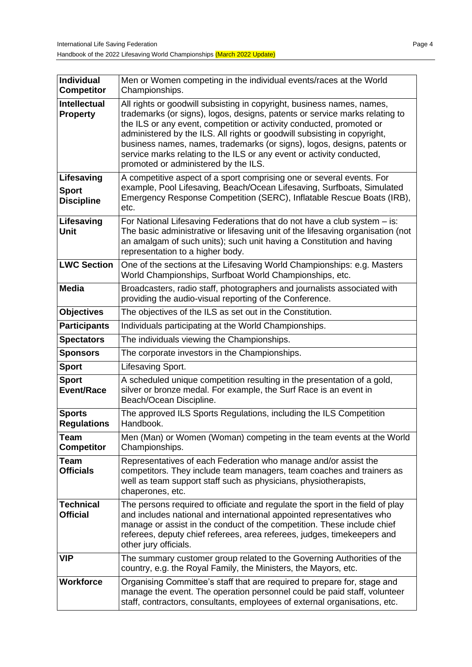| <b>Individual</b><br><b>Competitor</b>                                         | Men or Women competing in the individual events/races at the World<br>Championships.                                                                                                                                                                                                                                                                                                                                                                                                                   |  |
|--------------------------------------------------------------------------------|--------------------------------------------------------------------------------------------------------------------------------------------------------------------------------------------------------------------------------------------------------------------------------------------------------------------------------------------------------------------------------------------------------------------------------------------------------------------------------------------------------|--|
| <b>Intellectual</b><br><b>Property</b>                                         | All rights or goodwill subsisting in copyright, business names, names,<br>trademarks (or signs), logos, designs, patents or service marks relating to<br>the ILS or any event, competition or activity conducted, promoted or<br>administered by the ILS. All rights or goodwill subsisting in copyright,<br>business names, names, trademarks (or signs), logos, designs, patents or<br>service marks relating to the ILS or any event or activity conducted,<br>promoted or administered by the ILS. |  |
| Lifesaving<br><b>Sport</b><br><b>Discipline</b>                                | A competitive aspect of a sport comprising one or several events. For<br>example, Pool Lifesaving, Beach/Ocean Lifesaving, Surfboats, Simulated<br>Emergency Response Competition (SERC), Inflatable Rescue Boats (IRB),<br>etc.                                                                                                                                                                                                                                                                       |  |
| Lifesaving<br>Unit                                                             | For National Lifesaving Federations that do not have a club system - is:<br>The basic administrative or lifesaving unit of the lifesaving organisation (not<br>an amalgam of such units); such unit having a Constitution and having<br>representation to a higher body.                                                                                                                                                                                                                               |  |
| <b>LWC Section</b>                                                             | One of the sections at the Lifesaving World Championships: e.g. Masters<br>World Championships, Surfboat World Championships, etc.                                                                                                                                                                                                                                                                                                                                                                     |  |
| <b>Media</b>                                                                   | Broadcasters, radio staff, photographers and journalists associated with<br>providing the audio-visual reporting of the Conference.                                                                                                                                                                                                                                                                                                                                                                    |  |
| <b>Objectives</b><br>The objectives of the ILS as set out in the Constitution. |                                                                                                                                                                                                                                                                                                                                                                                                                                                                                                        |  |
| <b>Participants</b><br>Individuals participating at the World Championships.   |                                                                                                                                                                                                                                                                                                                                                                                                                                                                                                        |  |
| <b>Spectators</b><br>The individuals viewing the Championships.                |                                                                                                                                                                                                                                                                                                                                                                                                                                                                                                        |  |
| The corporate investors in the Championships.<br><b>Sponsors</b>               |                                                                                                                                                                                                                                                                                                                                                                                                                                                                                                        |  |
| <b>Sport</b>                                                                   | Lifesaving Sport.                                                                                                                                                                                                                                                                                                                                                                                                                                                                                      |  |
| <b>Sport</b><br><b>Event/Race</b>                                              | A scheduled unique competition resulting in the presentation of a gold,<br>silver or bronze medal. For example, the Surf Race is an event in<br>Beach/Ocean Discipline.                                                                                                                                                                                                                                                                                                                                |  |
| <b>Sports</b><br><b>Regulations</b>                                            | The approved ILS Sports Regulations, including the ILS Competition<br>Handbook.                                                                                                                                                                                                                                                                                                                                                                                                                        |  |
| <b>Team</b><br><b>Competitor</b>                                               | Men (Man) or Women (Woman) competing in the team events at the World<br>Championships.                                                                                                                                                                                                                                                                                                                                                                                                                 |  |
| Team<br><b>Officials</b>                                                       | Representatives of each Federation who manage and/or assist the<br>competitors. They include team managers, team coaches and trainers as<br>well as team support staff such as physicians, physiotherapists,<br>chaperones, etc.                                                                                                                                                                                                                                                                       |  |
| <b>Technical</b><br><b>Official</b>                                            | The persons required to officiate and regulate the sport in the field of play<br>and includes national and international appointed representatives who<br>manage or assist in the conduct of the competition. These include chief<br>referees, deputy chief referees, area referees, judges, timekeepers and<br>other jury officials.                                                                                                                                                                  |  |
| VIP                                                                            | The summary customer group related to the Governing Authorities of the<br>country, e.g. the Royal Family, the Ministers, the Mayors, etc.                                                                                                                                                                                                                                                                                                                                                              |  |
| <b>Workforce</b>                                                               | Organising Committee's staff that are required to prepare for, stage and<br>manage the event. The operation personnel could be paid staff, volunteer<br>staff, contractors, consultants, employees of external organisations, etc.                                                                                                                                                                                                                                                                     |  |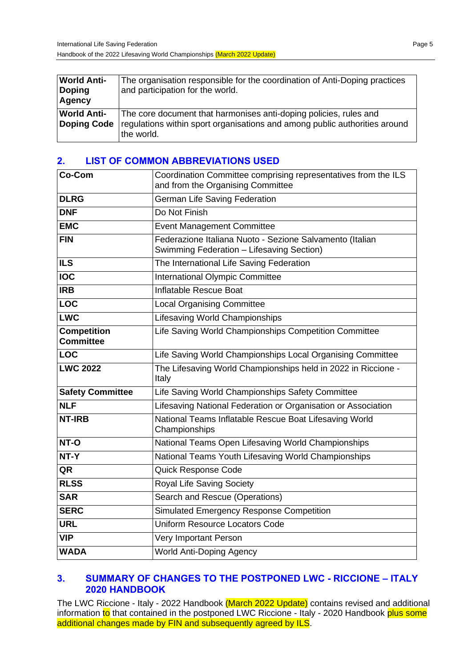| <b>World Anti-</b><br><b>Doping</b><br><b>Agency</b> | The organisation responsible for the coordination of Anti-Doping practices<br>and participation for the world.                                                |
|------------------------------------------------------|---------------------------------------------------------------------------------------------------------------------------------------------------------------|
| <b>World Anti-</b><br>Doping Code                    | The core document that harmonises anti-doping policies, rules and<br>regulations within sport organisations and among public authorities around<br>the world. |

## **2. LIST OF COMMON ABBREVIATIONS USED**

| Co-Com                                 | Coordination Committee comprising representatives from the ILS<br>and from the Organising Committee   |  |
|----------------------------------------|-------------------------------------------------------------------------------------------------------|--|
| <b>DLRG</b>                            | German Life Saving Federation                                                                         |  |
| <b>DNF</b>                             | Do Not Finish                                                                                         |  |
| <b>EMC</b>                             | <b>Event Management Committee</b>                                                                     |  |
| <b>FIN</b>                             | Federazione Italiana Nuoto - Sezione Salvamento (Italian<br>Swimming Federation - Lifesaving Section) |  |
| <b>ILS</b>                             | The International Life Saving Federation                                                              |  |
| <b>IOC</b>                             | <b>International Olympic Committee</b>                                                                |  |
| <b>IRB</b>                             | Inflatable Rescue Boat                                                                                |  |
| LOC                                    | <b>Local Organising Committee</b>                                                                     |  |
| <b>LWC</b>                             | <b>Lifesaving World Championships</b>                                                                 |  |
| <b>Competition</b><br><b>Committee</b> | Life Saving World Championships Competition Committee                                                 |  |
| <b>LOC</b>                             | Life Saving World Championships Local Organising Committee                                            |  |
|                                        |                                                                                                       |  |
| <b>LWC 2022</b>                        | The Lifesaving World Championships held in 2022 in Riccione -<br>Italy                                |  |
| <b>Safety Committee</b>                | Life Saving World Championships Safety Committee                                                      |  |
| <b>NLF</b>                             | Lifesaving National Federation or Organisation or Association                                         |  |
| <b>NT-IRB</b>                          | National Teams Inflatable Rescue Boat Lifesaving World<br>Championships                               |  |
| NT-O                                   | National Teams Open Lifesaving World Championships                                                    |  |
| NT-Y                                   | National Teams Youth Lifesaving World Championships                                                   |  |
| QR                                     | Quick Response Code                                                                                   |  |
| <b>RLSS</b>                            | Royal Life Saving Society                                                                             |  |
| <b>SAR</b>                             | Search and Rescue (Operations)                                                                        |  |
| <b>SERC</b>                            | Simulated Emergency Response Competition                                                              |  |
| <b>URL</b>                             | <b>Uniform Resource Locators Code</b>                                                                 |  |
| <b>VIP</b>                             | Very Important Person                                                                                 |  |

#### **3. SUMMARY OF CHANGES TO THE POSTPONED LWC - RICCIONE – ITALY 2020 HANDBOOK**

The LWC Riccione - Italy - 2022 Handbook (March 2022 Update) contains revised and additional information to that contained in the postponed LWC Riccione - Italy - 2020 Handbook plus some additional changes made by FIN and subsequently agreed by ILS.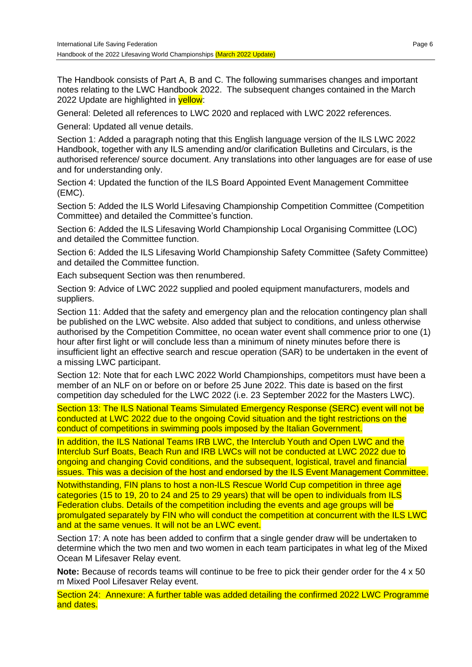The Handbook consists of Part A, B and C. The following summarises changes and important notes relating to the LWC Handbook 2022. The subsequent changes contained in the March 2022 Update are highlighted in yellow:

General: Deleted all references to LWC 2020 and replaced with LWC 2022 references.

General: Updated all venue details.

Section 1: Added a paragraph noting that this English language version of the ILS LWC 2022 Handbook, together with any ILS amending and/or clarification Bulletins and Circulars, is the authorised reference/ source document. Any translations into other languages are for ease of use and for understanding only.

Section 4: Updated the function of the ILS Board Appointed Event Management Committee (EMC).

Section 5: Added the ILS World Lifesaving Championship Competition Committee (Competition Committee) and detailed the Committee's function.

Section 6: Added the ILS Lifesaving World Championship Local Organising Committee (LOC) and detailed the Committee function.

Section 6: Added the ILS Lifesaving World Championship Safety Committee (Safety Committee) and detailed the Committee function.

Each subsequent Section was then renumbered.

Section 9: Advice of LWC 2022 supplied and pooled equipment manufacturers, models and suppliers.

Section 11: Added that the safety and emergency plan and the relocation contingency plan shall be published on the LWC website. Also added that subject to conditions, and unless otherwise authorised by the Competition Committee, no ocean water event shall commence prior to one (1) hour after first light or will conclude less than a minimum of ninety minutes before there is insufficient light an effective search and rescue operation (SAR) to be undertaken in the event of a missing LWC participant.

Section 12: Note that for each LWC 2022 World Championships, competitors must have been a member of an NLF on or before on or before 25 June 2022. This date is based on the first competition day scheduled for the LWC 2022 (i.e. 23 September 2022 for the Masters LWC).

Section 13: The ILS National Teams Simulated Emergency Response (SERC) event will not be conducted at LWC 2022 due to the ongoing Covid situation and the tight restrictions on the conduct of competitions in swimming pools imposed by the Italian Government.

In addition, the ILS National Teams IRB LWC, the Interclub Youth and Open LWC and the Interclub Surf Boats, Beach Run and IRB LWCs will not be conducted at LWC 2022 due to ongoing and changing Covid conditions, and the subsequent, logistical, travel and financial issues. This was a decision of the host and endorsed by the ILS Event Management Committee.

Notwithstanding, FIN plans to host a non-ILS Rescue World Cup competition in three age categories (15 to 19, 20 to 24 and 25 to 29 years) that will be open to individuals from ILS Federation clubs. Details of the competition including the events and age groups will be promulgated separately by FIN who will conduct the competition at concurrent with the ILS LWC and at the same venues. It will not be an LWC event.

Section 17: A note has been added to confirm that a single gender draw will be undertaken to determine which the two men and two women in each team participates in what leg of the Mixed Ocean M Lifesaver Relay event.

**Note:** Because of records teams will continue to be free to pick their gender order for the 4 x 50 m Mixed Pool Lifesaver Relay event.

Section 24: Annexure: A further table was added detailing the confirmed 2022 LWC Programme and dates.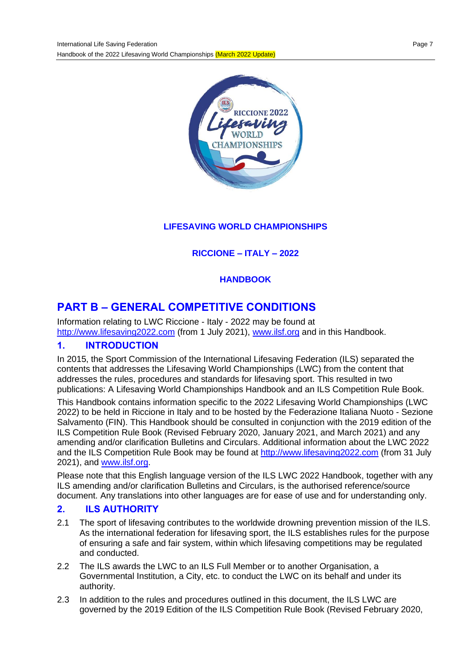

## **LIFESAVING WORLD CHAMPIONSHIPS**

## **RICCIONE – ITALY – 2022**

## **HANDBOOK**

# **PART B – GENERAL COMPETITIVE CONDITIONS**

Information relating to LWC Riccione - Italy - 2022 may be found at [http://www.lifesaving2022.com](http://www.lifesaving2022.com/) (from 1 July 2021), [www.ilsf.org](http://www.ilsf.org/) and in this Handbook.

## **1. INTRODUCTION**

In 2015, the Sport Commission of the International Lifesaving Federation (ILS) separated the contents that addresses the Lifesaving World Championships (LWC) from the content that addresses the rules, procedures and standards for lifesaving sport. This resulted in two publications: A Lifesaving World Championships Handbook and an ILS Competition Rule Book.

This Handbook contains information specific to the 2022 Lifesaving World Championships (LWC 2022) to be held in Riccione in Italy and to be hosted by the Federazione Italiana Nuoto - Sezione Salvamento (FIN). This Handbook should be consulted in conjunction with the 2019 edition of the ILS Competition Rule Book (Revised February 2020, January 2021, and March 2021) and any amending and/or clarification Bulletins and Circulars. Additional information about the LWC 2022 and the ILS Competition Rule Book may be found at [http://www.lifesaving2022.com](http://www.lifesaving2022.com/) (from 31 July 2021), and [www.ilsf.org.](http://www.ilsf.org/)

Please note that this English language version of the ILS LWC 2022 Handbook, together with any ILS amending and/or clarification Bulletins and Circulars, is the authorised reference/source document. Any translations into other languages are for ease of use and for understanding only.

#### **2. ILS AUTHORITY**

- 2.1 The sport of lifesaving contributes to the worldwide drowning prevention mission of the ILS. As the international federation for lifesaving sport, the ILS establishes rules for the purpose of ensuring a safe and fair system, within which lifesaving competitions may be regulated and conducted.
- 2.2 The ILS awards the LWC to an ILS Full Member or to another Organisation, a Governmental Institution, a City, etc. to conduct the LWC on its behalf and under its authority.
- 2.3 In addition to the rules and procedures outlined in this document, the ILS LWC are governed by the 2019 Edition of the ILS Competition Rule Book (Revised February 2020,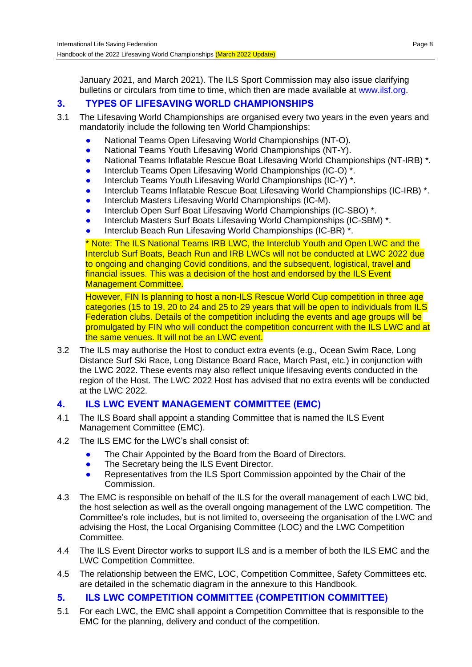January 2021, and March 2021). The ILS Sport Commission may also issue clarifying bulletins or circulars from time to time, which then are made available at [www.ilsf.org.](http://www.ilsf.org/)

#### **3. TYPES OF LIFESAVING WORLD CHAMPIONSHIPS**

- 3.1 The Lifesaving World Championships are organised every two years in the even years and mandatorily include the following ten World Championships:
	- National Teams Open Lifesaving World Championships (NT-O).
	- National Teams Youth Lifesaving World Championships (NT-Y).
	- National Teams Inflatable Rescue Boat Lifesaving World Championships (NT-IRB) \*.
	- Interclub Teams Open Lifesaving World Championships (IC-O)<sup>\*</sup>.
	- Interclub Teams Youth Lifesaving World Championships (IC-Y) \*.
	- Interclub Teams Inflatable Rescue Boat Lifesaving World Championships (IC-IRB) \*.
	- Interclub Masters Lifesaving World Championships (IC-M).
	- Interclub Open Surf Boat Lifesaving World Championships (IC-SBO) \*.
	- Interclub Masters Surf Boats Lifesaving World Championships (IC-SBM) \*.
	- Interclub Beach Run Lifesaving World Championships (IC-BR) \*.

\* Note: The ILS National Teams IRB LWC, the Interclub Youth and Open LWC and the Interclub Surf Boats, Beach Run and IRB LWCs will not be conducted at LWC 2022 due to ongoing and changing Covid conditions, and the subsequent, logistical, travel and financial issues. This was a decision of the host and endorsed by the ILS Event Management Committee.

However, FIN Is planning to host a non-ILS Rescue World Cup competition in three age categories (15 to 19, 20 to 24 and 25 to 29 years that will be open to individuals from ILS Federation clubs. Details of the competition including the events and age groups will be promulgated by FIN who will conduct the competition concurrent with the ILS LWC and at the same venues. It will not be an LWC event.

3.2 The ILS may authorise the Host to conduct extra events (e.g., Ocean Swim Race, Long Distance Surf Ski Race, Long Distance Board Race, March Past, etc.) in conjunction with the LWC 2022. These events may also reflect unique lifesaving events conducted in the region of the Host. The LWC 2022 Host has advised that no extra events will be conducted at the LWC 2022.

#### **4. ILS LWC EVENT MANAGEMENT COMMITTEE (EMC)**

- 4.1 The ILS Board shall appoint a standing Committee that is named the ILS Event Management Committee (EMC).
- 4.2 The ILS EMC for the LWC's shall consist of:
	- **•** The Chair Appointed by the Board from the Board of Directors.
	- The Secretary being the ILS Event Director.
	- Representatives from the ILS Sport Commission appointed by the Chair of the Commission.
- 4.3 The EMC is responsible on behalf of the ILS for the overall management of each LWC bid, the host selection as well as the overall ongoing management of the LWC competition. The Committee's role includes, but is not limited to, overseeing the organisation of the LWC and advising the Host, the Local Organising Committee (LOC) and the LWC Competition Committee.
- 4.4 The ILS Event Director works to support ILS and is a member of both the ILS EMC and the LWC Competition Committee.
- 4.5 The relationship between the EMC, LOC, Competition Committee, Safety Committees etc. are detailed in the schematic diagram in the annexure to this Handbook.

#### **5. ILS LWC COMPETITION COMMITTEE (COMPETITION COMMITTEE)**

5.1 For each LWC, the EMC shall appoint a Competition Committee that is responsible to the EMC for the planning, delivery and conduct of the competition.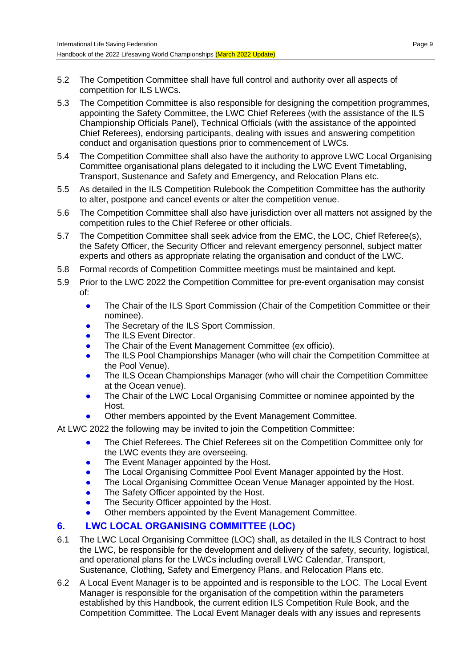- 5.2 The Competition Committee shall have full control and authority over all aspects of competition for ILS LWCs.
- 5.3 The Competition Committee is also responsible for designing the competition programmes, appointing the Safety Committee, the LWC Chief Referees (with the assistance of the ILS Championship Officials Panel), Technical Officials (with the assistance of the appointed Chief Referees), endorsing participants, dealing with issues and answering competition conduct and organisation questions prior to commencement of LWCs.
- 5.4 The Competition Committee shall also have the authority to approve LWC Local Organising Committee organisational plans delegated to it including the LWC Event Timetabling, Transport, Sustenance and Safety and Emergency, and Relocation Plans etc.
- 5.5 As detailed in the ILS Competition Rulebook the Competition Committee has the authority to alter, postpone and cancel events or alter the competition venue.
- 5.6 The Competition Committee shall also have jurisdiction over all matters not assigned by the competition rules to the Chief Referee or other officials.
- 5.7 The Competition Committee shall seek advice from the EMC, the LOC, Chief Referee(s), the Safety Officer, the Security Officer and relevant emergency personnel, subject matter experts and others as appropriate relating the organisation and conduct of the LWC.
- 5.8 Formal records of Competition Committee meetings must be maintained and kept.
- 5.9 Prior to the LWC 2022 the Competition Committee for pre-event organisation may consist of:
	- **•** The Chair of the ILS Sport Commission (Chair of the Competition Committee or their nominee).
	- The Secretary of the ILS Sport Commission.
	- The ILS Event Director.
	- The Chair of the Event Management Committee (ex officio).
	- The ILS Pool Championships Manager (who will chair the Competition Committee at the Pool Venue).
	- The ILS Ocean Championships Manager (who will chair the Competition Committee at the Ocean venue).
	- The Chair of the LWC Local Organising Committee or nominee appointed by the **Host**
	- Other members appointed by the Event Management Committee.
- At LWC 2022 the following may be invited to join the Competition Committee:
	- The Chief Referees. The Chief Referees sit on the Competition Committee only for the LWC events they are overseeing.
	- The Event Manager appointed by the Host.
	- The Local Organising Committee Pool Event Manager appointed by the Host.
	- The Local Organising Committee Ocean Venue Manager appointed by the Host.
	- The Safety Officer appointed by the Host.
	- The Security Officer appointed by the Host.
	- Other members appointed by the Event Management Committee.

## **6. LWC LOCAL ORGANISING COMMITTEE (LOC)**

- 6.1 The LWC Local Organising Committee (LOC) shall, as detailed in the ILS Contract to host the LWC, be responsible for the development and delivery of the safety, security, logistical, and operational plans for the LWCs including overall LWC Calendar, Transport, Sustenance, Clothing, Safety and Emergency Plans, and Relocation Plans etc.
- 6.2 A Local Event Manager is to be appointed and is responsible to the LOC. The Local Event Manager is responsible for the organisation of the competition within the parameters established by this Handbook, the current edition ILS Competition Rule Book, and the Competition Committee. The Local Event Manager deals with any issues and represents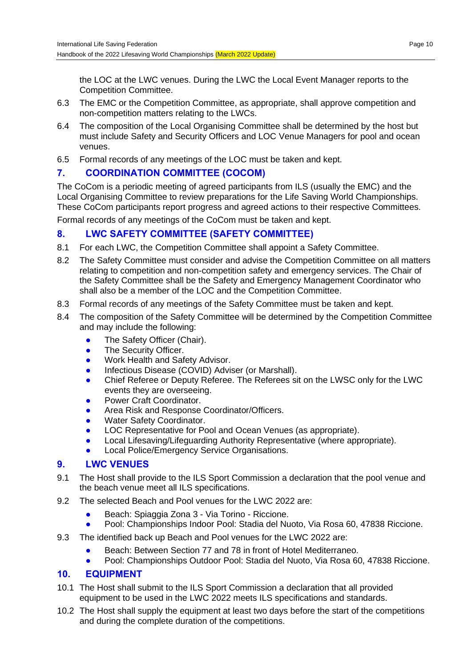the LOC at the LWC venues. During the LWC the Local Event Manager reports to the Competition Committee.

- 6.3 The EMC or the Competition Committee, as appropriate, shall approve competition and non-competition matters relating to the LWCs.
- 6.4 The composition of the Local Organising Committee shall be determined by the host but must include Safety and Security Officers and LOC Venue Managers for pool and ocean venues.
- 6.5 Formal records of any meetings of the LOC must be taken and kept.

## **7. COORDINATION COMMITTEE (COCOM)**

The CoCom is a periodic meeting of agreed participants from ILS (usually the EMC) and the Local Organising Committee to review preparations for the Life Saving World Championships. These CoCom participants report progress and agreed actions to their respective Committees.

Formal records of any meetings of the CoCom must be taken and kept.

## **8. LWC SAFETY COMMITTEE (SAFETY COMMITTEE)**

- 8.1 For each LWC, the Competition Committee shall appoint a Safety Committee.
- 8.2 The Safety Committee must consider and advise the Competition Committee on all matters relating to competition and non-competition safety and emergency services. The Chair of the Safety Committee shall be the Safety and Emergency Management Coordinator who shall also be a member of the LOC and the Competition Committee.
- 8.3 Formal records of any meetings of the Safety Committee must be taken and kept.
- 8.4 The composition of the Safety Committee will be determined by the Competition Committee and may include the following:
	- The Safety Officer (Chair).
	- The Security Officer.
	- **Work Health and Safety Advisor.**
	- **•** Infectious Disease (COVID) Adviser (or Marshall).
	- Chief Referee or Deputy Referee. The Referees sit on the LWSC only for the LWC events they are overseeing.
	- Power Craft Coordinator.
	- Area Risk and Response Coordinator/Officers.
	- Water Safety Coordinator.
	- LOC Representative for Pool and Ocean Venues (as appropriate).
	- Local Lifesaving/Lifeguarding Authority Representative (where appropriate).
	- Local Police/Emergency Service Organisations.

## **9. LWC VENUES**

- 9.1 The Host shall provide to the ILS Sport Commission a declaration that the pool venue and the beach venue meet all ILS specifications.
- 9.2 The selected Beach and Pool venues for the LWC 2022 are:
	- Beach: Spiaggia Zona 3 Via Torino Riccione.
	- Pool: Championships Indoor Pool: Stadia del Nuoto, Via Rosa 60, 47838 Riccione.
- 9.3 The identified back up Beach and Pool venues for the LWC 2022 are:
	- Beach: Between Section 77 and 78 in front of Hotel Mediterraneo.
	- Pool: Championships Outdoor Pool: Stadia del Nuoto, Via Rosa 60, 47838 Riccione.

## **10. EQUIPMENT**

- 10.1 The Host shall submit to the ILS Sport Commission a declaration that all provided equipment to be used in the LWC 2022 meets ILS specifications and standards.
- 10.2 The Host shall supply the equipment at least two days before the start of the competitions and during the complete duration of the competitions.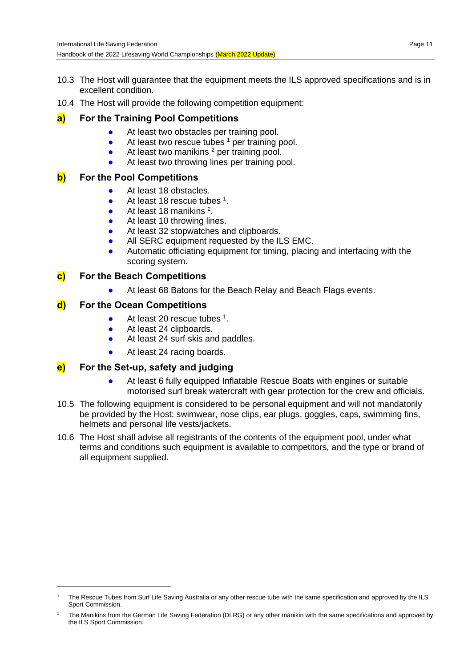- 10.3 The Host will guarantee that the equipment meets the ILS approved specifications and is in excellent condition.
- 10.4 The Host will provide the following competition equipment:

## **a) For the Training Pool Competitions**

- At least two obstacles per training pool.
- At least two rescue tubes <sup>1</sup> per training pool.
- $\bullet$  At least two manikins  $^2$  per training pool.
- At least two throwing lines per training pool.

## **b) For the Pool Competitions**

- At least 18 obstacles.
- $\bullet$  At least 18 rescue tubes  $^1$ .
- $\bullet$  At least 18 manikins  $2$ .
- At least 10 throwing lines.
- At least 32 stopwatches and clipboards.
- All SERC equipment requested by the ILS EMC.
- Automatic officiating equipment for timing, placing and interfacing with the scoring system.

#### **c) For the Beach Competitions**

● At least 68 Batons for the Beach Relay and Beach Flags events.

#### **d) For the Ocean Competitions**

- $\bullet$  At least 20 rescue tubes  $^1$ .
- At least 24 clipboards.
- At least 24 surf skis and paddles.
- At least 24 racing boards.

## **e) For the Set-up, safety and judging**

- At least 6 fully equipped Inflatable Rescue Boats with engines or suitable motorised surf break watercraft with gear protection for the crew and officials.
- 10.5 The following equipment is considered to be personal equipment and will not mandatorily be provided by the Host: swimwear, nose clips, ear plugs, goggles, caps, swimming fins, helmets and personal life vests/jackets.
- 10.6 The Host shall advise all registrants of the contents of the equipment pool, under what terms and conditions such equipment is available to competitors, and the type or brand of all equipment supplied.

The Rescue Tubes from Surf Life Saving Australia or any other rescue tube with the same specification and approved by the ILS Sport Commission.

<sup>2</sup> The Manikins from the German Life Saving Federation (DLRG) or any other manikin with the same specifications and approved by the ILS Sport Commission.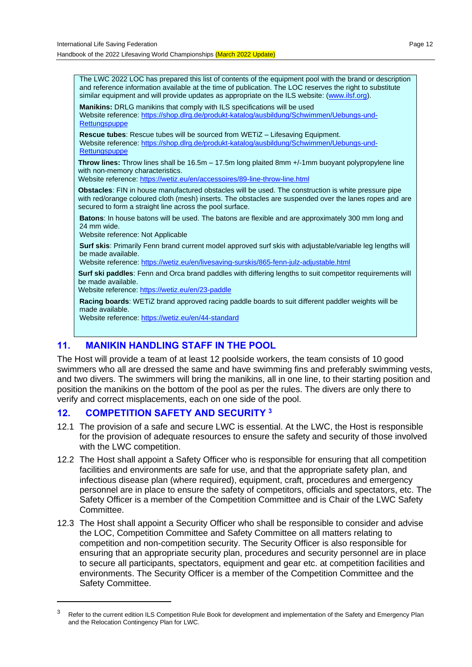The LWC 2022 LOC has prepared this list of contents of the equipment pool with the brand or description and reference information available at the time of publication. The LOC reserves the right to substitute similar equipment and will provide updates as appropriate on the ILS website: [\(www.ilsf.org\)](http://www.ilsf.org/).

**Manikins:** DRLG manikins that comply with ILS specifications will be used Website reference: [https://shop.dlrg.de/produkt-katalog/ausbildung/Schwimmen/Uebungs-und-](https://shop.dlrg.de/produkt-katalog/ausbildung/Schwimmen/Uebungs-und-Rettungspuppe)**[Rettungspuppe](https://shop.dlrg.de/produkt-katalog/ausbildung/Schwimmen/Uebungs-und-Rettungspuppe)** 

**Rescue tubes**: Rescue tubes will be sourced from WETiZ – Lifesaving Equipment. Website reference: [https://shop.dlrg.de/produkt-katalog/ausbildung/Schwimmen/Uebungs-und-](https://shop.dlrg.de/produkt-katalog/ausbildung/Schwimmen/Uebungs-und-Rettungspuppe)[Rettungspuppe](https://shop.dlrg.de/produkt-katalog/ausbildung/Schwimmen/Uebungs-und-Rettungspuppe)

**Throw lines:** Throw lines shall be 16.5m – 17.5m long plaited 8mm +/-1mm buoyant polypropylene line with non-memory characteristics.

Website reference: <https://wetiz.eu/en/accessoires/89-line-throw-line.html>

**Obstacles**: FIN in house manufactured obstacles will be used. The construction is white pressure pipe with red/orange coloured cloth (mesh) inserts. The obstacles are suspended over the lanes ropes and are secured to form a straight line across the pool surface.

**Batons**: In house batons will be used. The batons are flexible and are approximately 300 mm long and 24 mm wide.

Website reference: Not Applicable

**Surf skis**: Primarily Fenn brand current model approved surf skis with adjustable/variable leg lengths will be made available.

Website reference: <https://wetiz.eu/en/livesaving-surskis/865-fenn-julz-adjustable.html>

**Surf ski paddles**: Fenn and Orca brand paddles with differing lengths to suit competitor requirements will be made available.

Website reference: <https://wetiz.eu/en/23-paddle>

**Racing boards**: WETiZ brand approved racing paddle boards to suit different paddler weights will be made available.

Website reference: <https://wetiz.eu/en/44-standard>

## **11. MANIKIN HANDLING STAFF IN THE POOL**

The Host will provide a team of at least 12 poolside workers, the team consists of 10 good swimmers who all are dressed the same and have swimming fins and preferably swimming vests, and two divers. The swimmers will bring the manikins, all in one line, to their starting position and position the manikins on the bottom of the pool as per the rules. The divers are only there to verify and correct misplacements, each on one side of the pool.

#### **12. COMPETITION SAFETY AND SECURITY <sup>3</sup>**

- 12.1 The provision of a safe and secure LWC is essential. At the LWC, the Host is responsible for the provision of adequate resources to ensure the safety and security of those involved with the LWC competition.
- 12.2 The Host shall appoint a Safety Officer who is responsible for ensuring that all competition facilities and environments are safe for use, and that the appropriate safety plan, and infectious disease plan (where required), equipment, craft, procedures and emergency personnel are in place to ensure the safety of competitors, officials and spectators, etc. The Safety Officer is a member of the Competition Committee and is Chair of the LWC Safety Committee.
- 12.3 The Host shall appoint a Security Officer who shall be responsible to consider and advise the LOC, Competition Committee and Safety Committee on all matters relating to competition and non-competition security. The Security Officer is also responsible for ensuring that an appropriate security plan, procedures and security personnel are in place to secure all participants, spectators, equipment and gear etc. at competition facilities and environments. The Security Officer is a member of the Competition Committee and the Safety Committee.

<sup>&</sup>lt;sup>3</sup> Refer to the current edition ILS Competition Rule Book for development and implementation of the Safety and Emergency Plan and the Relocation Contingency Plan for LWC.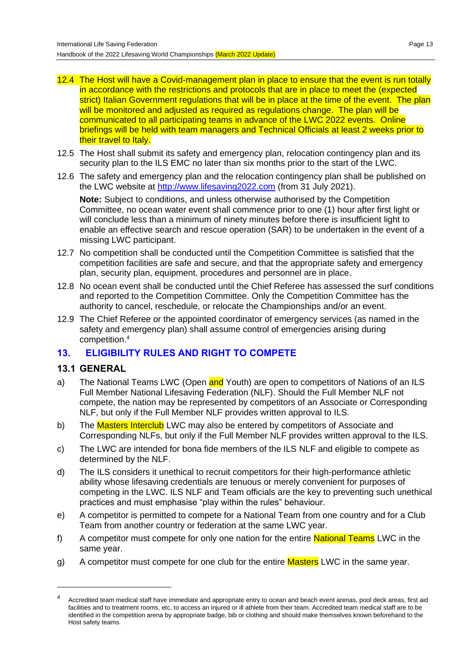- 12.4 The Host will have a Covid-management plan in place to ensure that the event is run totally in accordance with the restrictions and protocols that are in place to meet the (expected strict) Italian Government regulations that will be in place at the time of the event. The plan will be monitored and adjusted as required as regulations change. The plan will be communicated to all participating teams in advance of the LWC 2022 events. Online briefings will be held with team managers and Technical Officials at least 2 weeks prior to their travel to Italy.
- 12.5 The Host shall submit its safety and emergency plan, relocation contingency plan and its security plan to the ILS EMC no later than six months prior to the start of the LWC.
- 12.6 The safety and emergency plan and the relocation contingency plan shall be published on the LWC website at [http://www.lifesaving2022.com](http://www.lifesaving2022.com/) (from 31 July 2021).

**Note:** Subject to conditions, and unless otherwise authorised by the Competition Committee, no ocean water event shall commence prior to one (1) hour after first light or will conclude less than a minimum of ninety minutes before there is insufficient light to enable an effective search and rescue operation (SAR) to be undertaken in the event of a missing LWC participant.

- 12.7 No competition shall be conducted until the Competition Committee is satisfied that the competition facilities are safe and secure, and that the appropriate safety and emergency plan, security plan, equipment, procedures and personnel are in place.
- 12.8 No ocean event shall be conducted until the Chief Referee has assessed the surf conditions and reported to the Competition Committee. Only the Competition Committee has the authority to cancel, reschedule, or relocate the Championships and/or an event.
- 12.9 The Chief Referee or the appointed coordinator of emergency services (as named in the safety and emergency plan) shall assume control of emergencies arising during competition.<sup>4</sup>

## **13. ELIGIBILITY RULES AND RIGHT TO COMPETE**

#### **13.1 GENERAL**

- a) The National Teams LWC (Open and Youth) are open to competitors of Nations of an ILS Full Member National Lifesaving Federation (NLF). Should the Full Member NLF not compete, the nation may be represented by competitors of an Associate or Corresponding NLF, but only if the Full Member NLF provides written approval to ILS.
- b) The Masters Interclub LWC may also be entered by competitors of Associate and Corresponding NLFs, but only if the Full Member NLF provides written approval to the ILS.
- c) The LWC are intended for bona fide members of the ILS NLF and eligible to compete as determined by the NLF.
- d) The ILS considers it unethical to recruit competitors for their high-performance athletic ability whose lifesaving credentials are tenuous or merely convenient for purposes of competing in the LWC. ILS NLF and Team officials are the key to preventing such unethical practices and must emphasise "play within the rules" behaviour.
- e) A competitor is permitted to compete for a National Team from one country and for a Club Team from another country or federation at the same LWC year.
- f) A competitor must compete for only one nation for the entire **National Teams** LWC in the same year.
- g) A competitor must compete for one club for the entire Masters LWC in the same year.

<sup>&</sup>lt;sup>4</sup> Accredited team medical staff have immediate and appropriate entry to ocean and beach event arenas, pool deck areas, first aid facilities and to treatment rooms, etc. to access an injured or ill athlete from their team. Accredited team medical staff are to be identified in the competition arena by appropriate badge, bib or clothing and should make themselves known beforehand to the Host safety teams.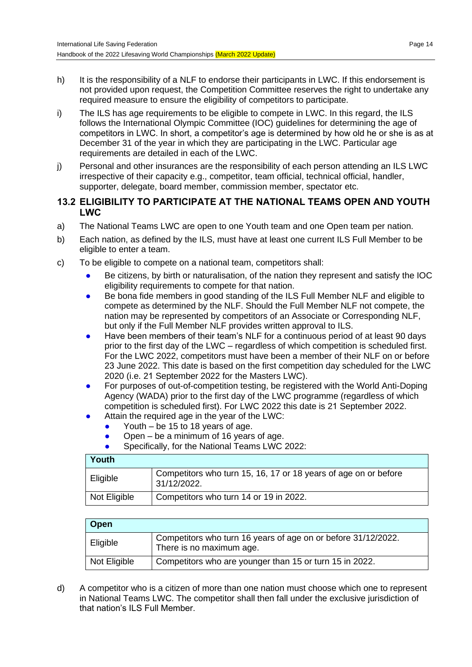- h) It is the responsibility of a NLF to endorse their participants in LWC. If this endorsement is not provided upon request, the Competition Committee reserves the right to undertake any required measure to ensure the eligibility of competitors to participate.
- i) The ILS has age requirements to be eligible to compete in LWC. In this regard, the ILS follows the International Olympic Committee (IOC) guidelines for determining the age of competitors in LWC. In short, a competitor's age is determined by how old he or she is as at December 31 of the year in which they are participating in the LWC. Particular age requirements are detailed in each of the LWC.
- j) Personal and other insurances are the responsibility of each person attending an ILS LWC irrespective of their capacity e.g., competitor, team official, technical official, handler, supporter, delegate, board member, commission member, spectator etc.

#### **13.2 ELIGIBILITY TO PARTICIPATE AT THE NATIONAL TEAMS OPEN AND YOUTH LWC**

- a) The National Teams LWC are open to one Youth team and one Open team per nation.
- b) Each nation, as defined by the ILS, must have at least one current ILS Full Member to be eligible to enter a team.
- c) To be eligible to compete on a national team, competitors shall:
	- Be citizens, by birth or naturalisation, of the nation they represent and satisfy the IOC eligibility requirements to compete for that nation.
	- Be bona fide members in good standing of the ILS Full Member NLF and eligible to compete as determined by the NLF. Should the Full Member NLF not compete, the nation may be represented by competitors of an Associate or Corresponding NLF, but only if the Full Member NLF provides written approval to ILS.
	- Have been members of their team's NLF for a continuous period of at least 90 days prior to the first day of the LWC – regardless of which competition is scheduled first. For the LWC 2022, competitors must have been a member of their NLF on or before 23 June 2022. This date is based on the first competition day scheduled for the LWC 2020 (i.e. 21 September 2022 for the Masters LWC).
	- For purposes of out-of-competition testing, be registered with the World Anti-Doping Agency (WADA) prior to the first day of the LWC programme (regardless of which competition is scheduled first). For LWC 2022 this date is 21 September 2022.
		- Attain the required age in the year of the LWC:
			- Youth be 15 to 18 years of age.
			- Open be a minimum of 16 years of age.
			- Specifically, for the National Teams LWC 2022:

| Youth                                                  |                                                                                |  |
|--------------------------------------------------------|--------------------------------------------------------------------------------|--|
| Eligible                                               | Competitors who turn 15, 16, 17 or 18 years of age on or before<br>31/12/2022. |  |
| Competitors who turn 14 or 19 in 2022.<br>Not Eligible |                                                                                |  |

| Open         |                                                                                           |  |
|--------------|-------------------------------------------------------------------------------------------|--|
| Eligible     | Competitors who turn 16 years of age on or before 31/12/2022.<br>There is no maximum age. |  |
| Not Eligible | Competitors who are younger than 15 or turn 15 in 2022.                                   |  |

d) A competitor who is a citizen of more than one nation must choose which one to represent in National Teams LWC. The competitor shall then fall under the exclusive jurisdiction of that nation's ILS Full Member.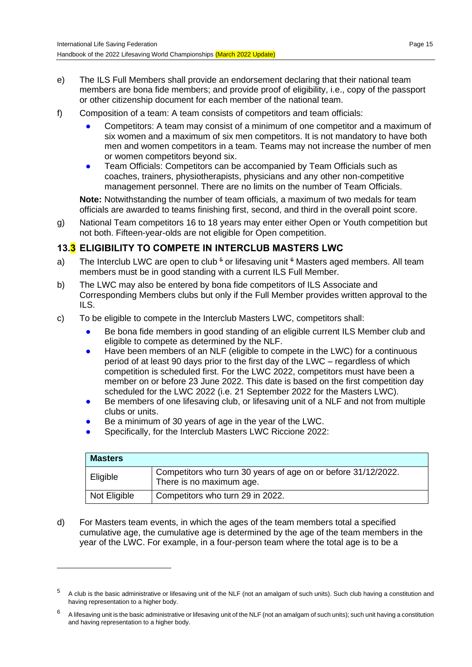- e) The ILS Full Members shall provide an endorsement declaring that their national team members are bona fide members; and provide proof of eligibility, i.e., copy of the passport or other citizenship document for each member of the national team.
- f) Composition of a team: A team consists of competitors and team officials:
	- Competitors: A team may consist of a minimum of one competitor and a maximum of six women and a maximum of six men competitors. It is not mandatory to have both men and women competitors in a team. Teams may not increase the number of men or women competitors beyond six.
	- Team Officials: Competitors can be accompanied by Team Officials such as coaches, trainers, physiotherapists, physicians and any other non-competitive management personnel. There are no limits on the number of Team Officials.

**Note:** Notwithstanding the number of team officials, a maximum of two medals for team officials are awarded to teams finishing first, second, and third in the overall point score.

g) National Team competitors 16 to 18 years may enter either Open or Youth competition but not both. Fifteen-year-olds are not eligible for Open competition.

## **13.3 ELIGIBILITY TO COMPETE IN INTERCLUB MASTERS LWC**

- a) The Interclub LWC are open to club <sup>5</sup> or lifesaving unit <sup>6</sup> Masters aged members. All team members must be in good standing with a current ILS Full Member.
- b) The LWC may also be entered by bona fide competitors of ILS Associate and Corresponding Members clubs but only if the Full Member provides written approval to the ILS.
- c) To be eligible to compete in the Interclub Masters LWC, competitors shall:
	- Be bona fide members in good standing of an eligible current ILS Member club and eligible to compete as determined by the NLF.
	- Have been members of an NLF (eligible to compete in the LWC) for a continuous period of at least 90 days prior to the first day of the LWC – regardless of which competition is scheduled first. For the LWC 2022, competitors must have been a member on or before 23 June 2022. This date is based on the first competition day scheduled for the LWC 2022 (i.e. 21 September 2022 for the Masters LWC).
	- Be members of one lifesaving club, or lifesaving unit of a NLF and not from multiple clubs or units.
	- Be a minimum of 30 years of age in the year of the LWC.
	- Specifically, for the Interclub Masters LWC Riccione 2022:

| <b>Masters</b> |                                                                                           |
|----------------|-------------------------------------------------------------------------------------------|
| Eligible       | Competitors who turn 30 years of age on or before 31/12/2022.<br>There is no maximum age. |
| Not Eligible   | Competitors who turn 29 in 2022.                                                          |

d) For Masters team events, in which the ages of the team members total a specified cumulative age, the cumulative age is determined by the age of the team members in the year of the LWC. For example, in a four-person team where the total age is to be a

<sup>5</sup> A club is the basic administrative or lifesaving unit of the NLF (not an amalgam of such units). Such club having a constitution and having representation to a higher body.

<sup>6</sup> A lifesaving unit is the basic administrative or lifesaving unit of the NLF (not an amalgam of such units); such unit having a constitution and having representation to a higher body.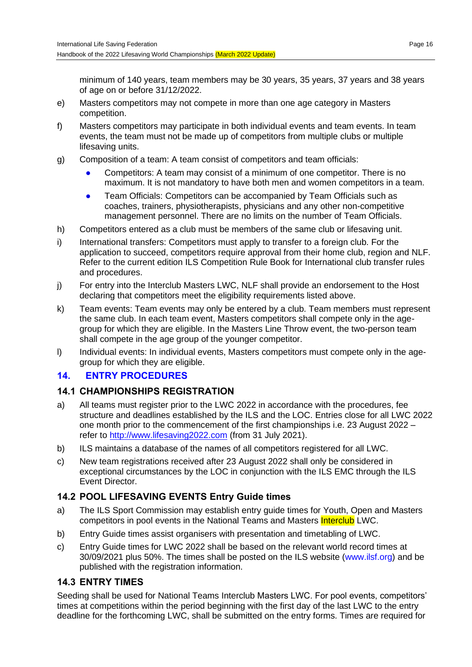minimum of 140 years, team members may be 30 years, 35 years, 37 years and 38 years of age on or before 31/12/2022.

- e) Masters competitors may not compete in more than one age category in Masters competition.
- f) Masters competitors may participate in both individual events and team events. In team events, the team must not be made up of competitors from multiple clubs or multiple lifesaving units.
- g) Composition of a team: A team consist of competitors and team officials:
	- Competitors: A team may consist of a minimum of one competitor. There is no maximum. It is not mandatory to have both men and women competitors in a team.
	- Team Officials: Competitors can be accompanied by Team Officials such as coaches, trainers, physiotherapists, physicians and any other non-competitive management personnel. There are no limits on the number of Team Officials.
- h) Competitors entered as a club must be members of the same club or lifesaving unit.
- i) International transfers: Competitors must apply to transfer to a foreign club. For the application to succeed, competitors require approval from their home club, region and NLF. Refer to the current edition ILS Competition Rule Book for International club transfer rules and procedures.
- j) For entry into the Interclub Masters LWC, NLF shall provide an endorsement to the Host declaring that competitors meet the eligibility requirements listed above.
- k) Team events: Team events may only be entered by a club. Team members must represent the same club. In each team event, Masters competitors shall compete only in the agegroup for which they are eligible. In the Masters Line Throw event, the two-person team shall compete in the age group of the younger competitor.
- I) Individual events: In individual events, Masters competitors must compete only in the agegroup for which they are eligible.

## **14. ENTRY PROCEDURES**

## **14.1 CHAMPIONSHIPS REGISTRATION**

- a) All teams must register prior to the LWC 2022 in accordance with the procedures, fee structure and deadlines established by the ILS and the LOC. Entries close for all LWC 2022 one month prior to the commencement of the first championships i.e. 23 August 2022 – refer to [http://www.lifesaving2022.com](http://www.lifesaving2022.com/) (from 31 July 2021).
- b) ILS maintains a database of the names of all competitors registered for all LWC.
- c) New team registrations received after 23 August 2022 shall only be considered in exceptional circumstances by the LOC in conjunction with the ILS EMC through the ILS Event Director.

## **14.2 POOL LIFESAVING EVENTS Entry Guide times**

- a) The ILS Sport Commission may establish entry guide times for Youth, Open and Masters competitors in pool events in the National Teams and Masters **Interclub** LWC.
- b) Entry Guide times assist organisers with presentation and timetabling of LWC.
- c) Entry Guide times for LWC 2022 shall be based on the relevant world record times at 30/09/2021 plus 50%. The times shall be posted on the ILS website [\(www.ilsf.org\)](http://www.ilsf.org/) and be published with the registration information.

## **14.3 ENTRY TIMES**

Seeding shall be used for National Teams Interclub Masters LWC. For pool events, competitors' times at competitions within the period beginning with the first day of the last LWC to the entry deadline for the forthcoming LWC, shall be submitted on the entry forms. Times are required for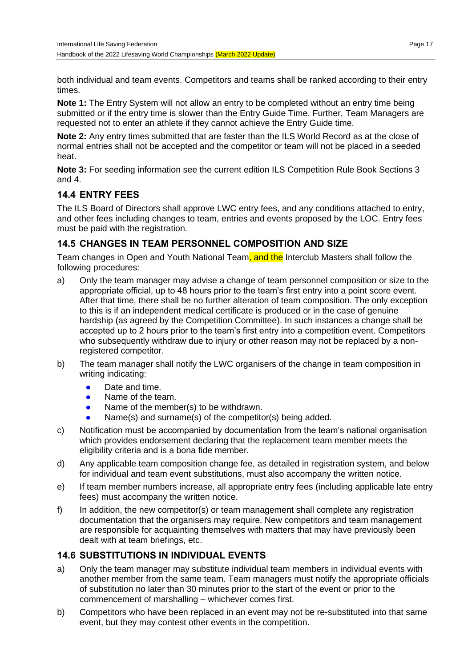both individual and team events. Competitors and teams shall be ranked according to their entry times.

**Note 1:** The Entry System will not allow an entry to be completed without an entry time being submitted or if the entry time is slower than the Entry Guide Time. Further, Team Managers are requested not to enter an athlete if they cannot achieve the Entry Guide time.

**Note 2:** Any entry times submitted that are faster than the ILS World Record as at the close of normal entries shall not be accepted and the competitor or team will not be placed in a seeded heat.

**Note 3:** For seeding information see the current edition ILS Competition Rule Book Sections 3 and 4.

## **14.4 ENTRY FEES**

The ILS Board of Directors shall approve LWC entry fees, and any conditions attached to entry, and other fees including changes to team, entries and events proposed by the LOC. Entry fees must be paid with the registration.

## **14.5 CHANGES IN TEAM PERSONNEL COMPOSITION AND SIZE**

Team changes in Open and Youth National Team, and the Interclub Masters shall follow the following procedures:

- a) Only the team manager may advise a change of team personnel composition or size to the appropriate official, up to 48 hours prior to the team's first entry into a point score event. After that time, there shall be no further alteration of team composition. The only exception to this is if an independent medical certificate is produced or in the case of genuine hardship (as agreed by the Competition Committee). In such instances a change shall be accepted up to 2 hours prior to the team's first entry into a competition event. Competitors who subsequently withdraw due to injury or other reason may not be replaced by a nonregistered competitor.
- b) The team manager shall notify the LWC organisers of the change in team composition in writing indicating:
	- Date and time.
	- Name of the team.
	- Name of the member(s) to be withdrawn.
	- $Name(s)$  and surname(s) of the competitor(s) being added.
- c) Notification must be accompanied by documentation from the team's national organisation which provides endorsement declaring that the replacement team member meets the eligibility criteria and is a bona fide member.
- d) Any applicable team composition change fee, as detailed in registration system, and below for individual and team event substitutions, must also accompany the written notice.
- e) If team member numbers increase, all appropriate entry fees (including applicable late entry fees) must accompany the written notice.
- f) In addition, the new competitor(s) or team management shall complete any registration documentation that the organisers may require. New competitors and team management are responsible for acquainting themselves with matters that may have previously been dealt with at team briefings, etc.

## **14.6 SUBSTITUTIONS IN INDIVIDUAL EVENTS**

- a) Only the team manager may substitute individual team members in individual events with another member from the same team. Team managers must notify the appropriate officials of substitution no later than 30 minutes prior to the start of the event or prior to the commencement of marshalling – whichever comes first.
- b) Competitors who have been replaced in an event may not be re-substituted into that same event, but they may contest other events in the competition.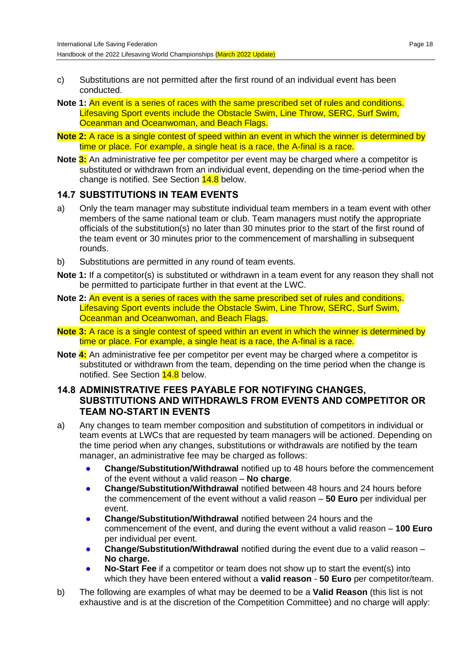- c) Substitutions are not permitted after the first round of an individual event has been conducted.
- **Note 1:** An event is a series of races with the same prescribed set of rules and conditions. Lifesaving Sport events include the Obstacle Swim, Line Throw, SERC, Surf Swim, Oceanman and Oceanwoman, and Beach Flags.
- **Note 2:** A race is a single contest of speed within an event in which the winner is determined by time or place. For example, a single heat is a race, the A-final is a race.
- **Note 3:** An administrative fee per competitor per event may be charged where a competitor is substituted or withdrawn from an individual event, depending on the time-period when the change is notified. See Section 14.8 below.

#### **14.7 SUBSTITUTIONS IN TEAM EVENTS**

- a) Only the team manager may substitute individual team members in a team event with other members of the same national team or club. Team managers must notify the appropriate officials of the substitution(s) no later than 30 minutes prior to the start of the first round of the team event or 30 minutes prior to the commencement of marshalling in subsequent rounds.
- b) Substitutions are permitted in any round of team events.
- **Note 1:** If a competitor(s) is substituted or withdrawn in a team event for any reason they shall not be permitted to participate further in that event at the LWC.
- **Note 2:** An event is a series of races with the same prescribed set of rules and conditions. Lifesaving Sport events include the Obstacle Swim, Line Throw, SERC, Surf Swim, Oceanman and Oceanwoman, and Beach Flags.
- **Note 3:** A race is a single contest of speed within an event in which the winner is determined by time or place. For example, a single heat is a race, the A-final is a race.
- **Note 4:** An administrative fee per competitor per event may be charged where a competitor is substituted or withdrawn from the team, depending on the time period when the change is notified. See Section **14.8** below.

#### **14.8 ADMINISTRATIVE FEES PAYABLE FOR NOTIFYING CHANGES, SUBSTITUTIONS AND WITHDRAWLS FROM EVENTS AND COMPETITOR OR TEAM NO-START IN EVENTS**

- a) Any changes to team member composition and substitution of competitors in individual or team events at LWCs that are requested by team managers will be actioned. Depending on the time period when any changes, substitutions or withdrawals are notified by the team manager, an administrative fee may be charged as follows:
	- **Change/Substitution/Withdrawal notified up to 48 hours before the commencement** of the event without a valid reason – **No charge**.
	- **Change/Substitution/Withdrawal notified between 48 hours and 24 hours before** the commencement of the event without a valid reason – **50 Euro** per individual per event.
	- **Change/Substitution/Withdrawal** notified between 24 hours and the commencement of the event, and during the event without a valid reason – **100 Euro** per individual per event.
	- **Change/Substitution/Withdrawal** notified during the event due to a valid reason **No charge.**
	- **No-Start Fee** if a competitor or team does not show up to start the event(s) into which they have been entered without a **valid reason** - **50 Euro** per competitor/team.
- b) The following are examples of what may be deemed to be a **Valid Reason** (this list is not exhaustive and is at the discretion of the Competition Committee) and no charge will apply: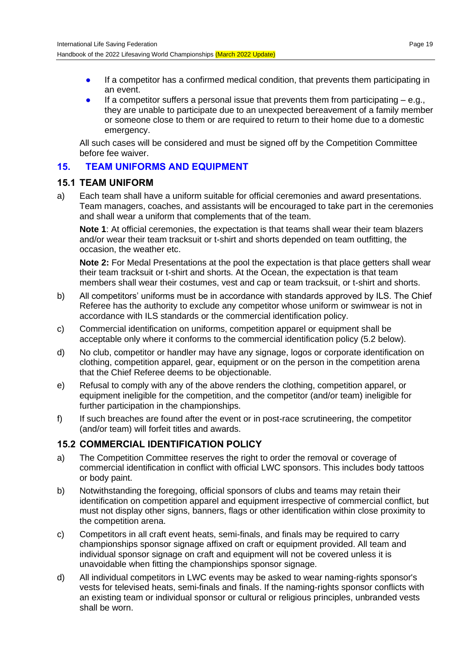- If a competitor has a confirmed medical condition, that prevents them participating in an event.
- If a competitor suffers a personal issue that prevents them from participating  $-$  e.g., they are unable to participate due to an unexpected bereavement of a family member or someone close to them or are required to return to their home due to a domestic emergency.

All such cases will be considered and must be signed off by the Competition Committee before fee waiver.

#### **15. TEAM UNIFORMS AND EQUIPMENT**

#### **15.1 TEAM UNIFORM**

a) Each team shall have a uniform suitable for official ceremonies and award presentations. Team managers, coaches, and assistants will be encouraged to take part in the ceremonies and shall wear a uniform that complements that of the team.

**Note 1**: At official ceremonies, the expectation is that teams shall wear their team blazers and/or wear their team tracksuit or t-shirt and shorts depended on team outfitting, the occasion, the weather etc.

**Note 2:** For Medal Presentations at the pool the expectation is that place getters shall wear their team tracksuit or t-shirt and shorts. At the Ocean, the expectation is that team members shall wear their costumes, vest and cap or team tracksuit, or t-shirt and shorts.

- b) All competitors' uniforms must be in accordance with standards approved by ILS. The Chief Referee has the authority to exclude any competitor whose uniform or swimwear is not in accordance with ILS standards or the commercial identification policy.
- c) Commercial identification on uniforms, competition apparel or equipment shall be acceptable only where it conforms to the commercial identification policy (5.2 below).
- d) No club, competitor or handler may have any signage, logos or corporate identification on clothing, competition apparel, gear, equipment or on the person in the competition arena that the Chief Referee deems to be objectionable.
- e) Refusal to comply with any of the above renders the clothing, competition apparel, or equipment ineligible for the competition, and the competitor (and/or team) ineligible for further participation in the championships.
- f) If such breaches are found after the event or in post-race scrutineering, the competitor (and/or team) will forfeit titles and awards.

## **15.2 COMMERCIAL IDENTIFICATION POLICY**

- a) The Competition Committee reserves the right to order the removal or coverage of commercial identification in conflict with official LWC sponsors. This includes body tattoos or body paint.
- b) Notwithstanding the foregoing, official sponsors of clubs and teams may retain their identification on competition apparel and equipment irrespective of commercial conflict, but must not display other signs, banners, flags or other identification within close proximity to the competition arena.
- c) Competitors in all craft event heats, semi-finals, and finals may be required to carry championships sponsor signage affixed on craft or equipment provided. All team and individual sponsor signage on craft and equipment will not be covered unless it is unavoidable when fitting the championships sponsor signage.
- d) All individual competitors in LWC events may be asked to wear naming-rights sponsor's vests for televised heats, semi-finals and finals. If the naming-rights sponsor conflicts with an existing team or individual sponsor or cultural or religious principles, unbranded vests shall be worn.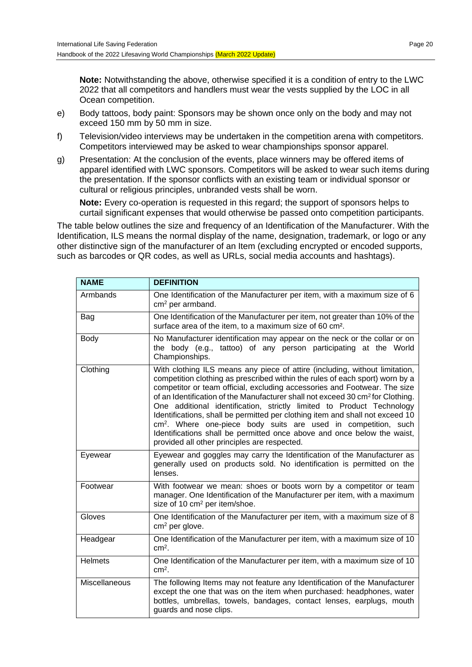**Note:** Notwithstanding the above, otherwise specified it is a condition of entry to the LWC 2022 that all competitors and handlers must wear the vests supplied by the LOC in all Ocean competition.

- e) Body tattoos, body paint: Sponsors may be shown once only on the body and may not exceed 150 mm by 50 mm in size.
- f) Television/video interviews may be undertaken in the competition arena with competitors. Competitors interviewed may be asked to wear championships sponsor apparel.
- g) Presentation: At the conclusion of the events, place winners may be offered items of apparel identified with LWC sponsors. Competitors will be asked to wear such items during the presentation. If the sponsor conflicts with an existing team or individual sponsor or cultural or religious principles, unbranded vests shall be worn.

**Note:** Every co-operation is requested in this regard; the support of sponsors helps to curtail significant expenses that would otherwise be passed onto competition participants.

The table below outlines the size and frequency of an Identification of the Manufacturer. With the Identification, ILS means the normal display of the name, designation, trademark, or logo or any other distinctive sign of the manufacturer of an Item (excluding encrypted or encoded supports, such as barcodes or QR codes, as well as URLs, social media accounts and hashtags).

| <b>NAME</b>    | <b>DEFINITION</b>                                                                                                                                                                                                                                                                                                                                                                                                                                                                                                                                                                                                                                                                                         |
|----------------|-----------------------------------------------------------------------------------------------------------------------------------------------------------------------------------------------------------------------------------------------------------------------------------------------------------------------------------------------------------------------------------------------------------------------------------------------------------------------------------------------------------------------------------------------------------------------------------------------------------------------------------------------------------------------------------------------------------|
| Armbands       | One Identification of the Manufacturer per item, with a maximum size of 6<br>cm <sup>2</sup> per armband.                                                                                                                                                                                                                                                                                                                                                                                                                                                                                                                                                                                                 |
| Bag            | One Identification of the Manufacturer per item, not greater than 10% of the<br>surface area of the item, to a maximum size of 60 cm <sup>2</sup> .                                                                                                                                                                                                                                                                                                                                                                                                                                                                                                                                                       |
| Body           | No Manufacturer identification may appear on the neck or the collar or on<br>the body (e.g., tattoo) of any person participating at the World<br>Championships.                                                                                                                                                                                                                                                                                                                                                                                                                                                                                                                                           |
| Clothing       | With clothing ILS means any piece of attire (including, without limitation,<br>competition clothing as prescribed within the rules of each sport) worn by a<br>competitor or team official, excluding accessories and Footwear. The size<br>of an Identification of the Manufacturer shall not exceed 30 cm <sup>2</sup> for Clothing.<br>One additional identification, strictly limited to Product Technology<br>Identifications, shall be permitted per clothing item and shall not exceed 10<br>cm <sup>2</sup> . Where one-piece body suits are used in competition, such<br>Identifications shall be permitted once above and once below the waist,<br>provided all other principles are respected. |
| Eyewear        | Eyewear and goggles may carry the Identification of the Manufacturer as<br>generally used on products sold. No identification is permitted on the<br>lenses.                                                                                                                                                                                                                                                                                                                                                                                                                                                                                                                                              |
| Footwear       | With footwear we mean: shoes or boots worn by a competitor or team<br>manager. One Identification of the Manufacturer per item, with a maximum<br>size of 10 cm <sup>2</sup> per item/shoe.                                                                                                                                                                                                                                                                                                                                                                                                                                                                                                               |
| Gloves         | One Identification of the Manufacturer per item, with a maximum size of 8<br>$cm2$ per glove.                                                                                                                                                                                                                                                                                                                                                                                                                                                                                                                                                                                                             |
| Headgear       | One Identification of the Manufacturer per item, with a maximum size of 10<br>$cm2$ .                                                                                                                                                                                                                                                                                                                                                                                                                                                                                                                                                                                                                     |
| <b>Helmets</b> | One Identification of the Manufacturer per item, with a maximum size of 10<br>$cm2$ .                                                                                                                                                                                                                                                                                                                                                                                                                                                                                                                                                                                                                     |
| Miscellaneous  | The following Items may not feature any Identification of the Manufacturer<br>except the one that was on the item when purchased: headphones, water<br>bottles, umbrellas, towels, bandages, contact lenses, earplugs, mouth<br>guards and nose clips.                                                                                                                                                                                                                                                                                                                                                                                                                                                    |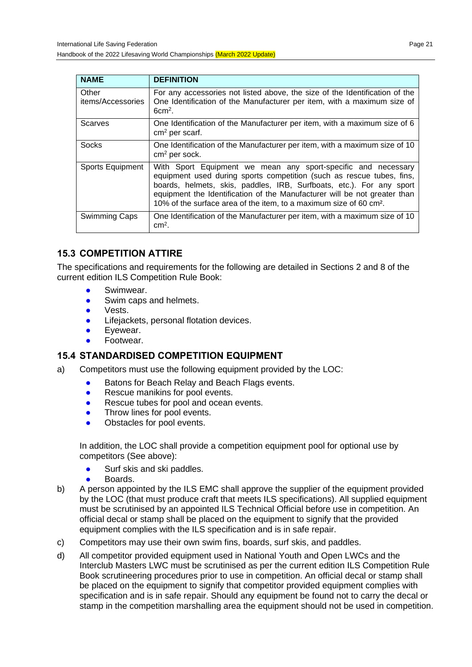Handbook of the 2022 Lifesaving World Championships (March 2022 Update)

| <b>NAME</b>                | <b>DEFINITION</b>                                                                                                                                                                                                                                                                                                                                                             |
|----------------------------|-------------------------------------------------------------------------------------------------------------------------------------------------------------------------------------------------------------------------------------------------------------------------------------------------------------------------------------------------------------------------------|
| Other<br>items/Accessories | For any accessories not listed above, the size of the Identification of the<br>One Identification of the Manufacturer per item, with a maximum size of<br>$6cm2$ .                                                                                                                                                                                                            |
| Scarves                    | One Identification of the Manufacturer per item, with a maximum size of 6<br>$cm2$ per scarf.                                                                                                                                                                                                                                                                                 |
| Socks                      | One Identification of the Manufacturer per item, with a maximum size of 10<br>$cm2$ per sock.                                                                                                                                                                                                                                                                                 |
| <b>Sports Equipment</b>    | With Sport Equipment we mean any sport-specific and necessary<br>equipment used during sports competition (such as rescue tubes, fins,<br>boards, helmets, skis, paddles, IRB, Surfboats, etc.). For any sport<br>equipment the Identification of the Manufacturer will be not greater than<br>10% of the surface area of the item, to a maximum size of 60 cm <sup>2</sup> . |
| <b>Swimming Caps</b>       | One Identification of the Manufacturer per item, with a maximum size of 10<br>$cm2$ .                                                                                                                                                                                                                                                                                         |

## **15.3 COMPETITION ATTIRE**

The specifications and requirements for the following are detailed in Sections 2 and 8 of the current edition ILS Competition Rule Book:

- Swimwear.
- Swim caps and helmets.
- Vests.
- Lifejackets, personal flotation devices.
- **•** Evewear.
- Footwear.

#### **15.4 STANDARDISED COMPETITION EQUIPMENT**

- a) Competitors must use the following equipment provided by the LOC:
	- Batons for Beach Relay and Beach Flags events.
	- Rescue manikins for pool events.
	- Rescue tubes for pool and ocean events.
	- Throw lines for pool events.
	- Obstacles for pool events.

In addition, the LOC shall provide a competition equipment pool for optional use by competitors (See above):

- Surf skis and ski paddles.
- Boards.
- b) A person appointed by the ILS EMC shall approve the supplier of the equipment provided by the LOC (that must produce craft that meets ILS specifications). All supplied equipment must be scrutinised by an appointed ILS Technical Official before use in competition. An official decal or stamp shall be placed on the equipment to signify that the provided equipment complies with the ILS specification and is in safe repair.
- c) Competitors may use their own swim fins, boards, surf skis, and paddles.
- d) All competitor provided equipment used in National Youth and Open LWCs and the Interclub Masters LWC must be scrutinised as per the current edition ILS Competition Rule Book scrutineering procedures prior to use in competition. An official decal or stamp shall be placed on the equipment to signify that competitor provided equipment complies with specification and is in safe repair. Should any equipment be found not to carry the decal or stamp in the competition marshalling area the equipment should not be used in competition.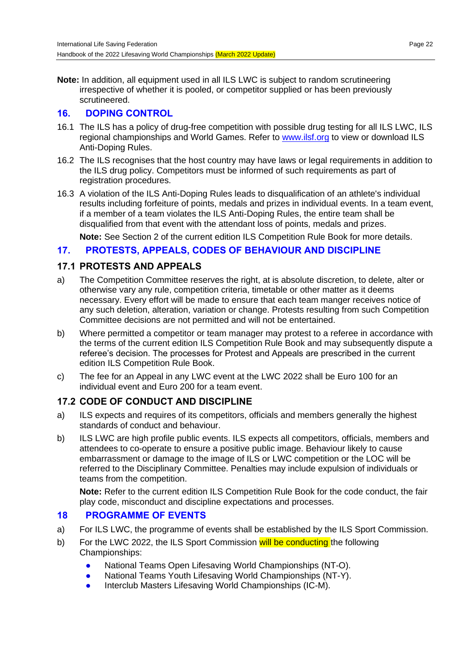**Note:** In addition, all equipment used in all ILS LWC is subject to random scrutineering irrespective of whether it is pooled, or competitor supplied or has been previously scrutineered.

## **16. DOPING CONTROL**

- 16.1 The ILS has a policy of drug-free competition with possible drug testing for all ILS LWC, ILS regional championships and World Games. Refer to [www.ilsf.org](http://www.ilsf.org/) to view or download ILS Anti-Doping Rules.
- 16.2 The ILS recognises that the host country may have laws or legal requirements in addition to the ILS drug policy. Competitors must be informed of such requirements as part of registration procedures.
- 16.3 A violation of the ILS Anti-Doping Rules leads to disqualification of an athlete's individual results including forfeiture of points, medals and prizes in individual events. In a team event, if a member of a team violates the ILS Anti-Doping Rules, the entire team shall be disqualified from that event with the attendant loss of points, medals and prizes.

**Note:** See Section 2 of the current edition ILS Competition Rule Book for more details.

## **17. PROTESTS, APPEALS, CODES OF BEHAVIOUR AND DISCIPLINE**

## **17.1 PROTESTS AND APPEALS**

- a) The Competition Committee reserves the right, at is absolute discretion, to delete, alter or otherwise vary any rule, competition criteria, timetable or other matter as it deems necessary. Every effort will be made to ensure that each team manger receives notice of any such deletion, alteration, variation or change. Protests resulting from such Competition Committee decisions are not permitted and will not be entertained.
- b) Where permitted a competitor or team manager may protest to a referee in accordance with the terms of the current edition ILS Competition Rule Book and may subsequently dispute a referee's decision. The processes for Protest and Appeals are prescribed in the current edition ILS Competition Rule Book.
- c) The fee for an Appeal in any LWC event at the LWC 2022 shall be Euro 100 for an individual event and Euro 200 for a team event.

#### **17.2 CODE OF CONDUCT AND DISCIPLINE**

- a) ILS expects and requires of its competitors, officials and members generally the highest standards of conduct and behaviour.
- b) ILS LWC are high profile public events. ILS expects all competitors, officials, members and attendees to co-operate to ensure a positive public image. Behaviour likely to cause embarrassment or damage to the image of ILS or LWC competition or the LOC will be referred to the Disciplinary Committee. Penalties may include expulsion of individuals or teams from the competition.

**Note:** Refer to the current edition ILS Competition Rule Book for the code conduct, the fair play code, misconduct and discipline expectations and processes.

#### **18 PROGRAMME OF EVENTS**

- a) For ILS LWC, the programme of events shall be established by the ILS Sport Commission.
- b) For the LWC 2022, the ILS Sport Commission will be conducting the following Championships:
	- National Teams Open Lifesaving World Championships (NT-O).
	- National Teams Youth Lifesaving World Championships (NT-Y).
	- Interclub Masters Lifesaving World Championships (IC-M).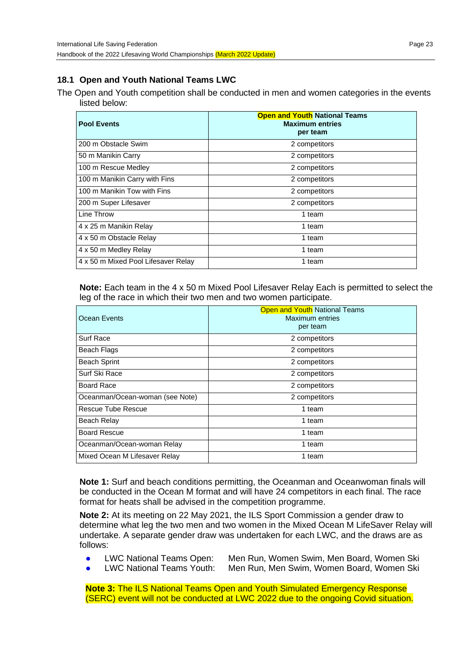#### **18.1 Open and Youth National Teams LWC**

The Open and Youth competition shall be conducted in men and women categories in the events listed below:

| <b>Pool Events</b>                  | <b>Open and Youth National Teams</b><br><b>Maximum entries</b><br>per team |
|-------------------------------------|----------------------------------------------------------------------------|
| 200 m Obstacle Swim                 | 2 competitors                                                              |
| 50 m Manikin Carry                  | 2 competitors                                                              |
| 100 m Rescue Medley                 | 2 competitors                                                              |
| 100 m Manikin Carry with Fins       | 2 competitors                                                              |
| 100 m Manikin Tow with Fins         | 2 competitors                                                              |
| 200 m Super Lifesaver               | 2 competitors                                                              |
| Line Throw                          | 1 team                                                                     |
| 4 x 25 m Manikin Relay              | 1 team                                                                     |
| 4 x 50 m Obstacle Relay             | 1 team                                                                     |
| 4 x 50 m Medley Relay               | 1 team                                                                     |
| 4 x 50 m Mixed Pool Lifesaver Relay | 1 team                                                                     |

**Note:** Each team in the 4 x 50 m Mixed Pool Lifesaver Relay Each is permitted to select the leg of the race in which their two men and two women participate.

| Ocean Events                    | <b>Open and Youth National Teams</b><br>Maximum entries<br>per team |
|---------------------------------|---------------------------------------------------------------------|
| Surf Race                       | 2 competitors                                                       |
| Beach Flags                     | 2 competitors                                                       |
| <b>Beach Sprint</b>             | 2 competitors                                                       |
| Surf Ski Race                   | 2 competitors                                                       |
| Board Race                      | 2 competitors                                                       |
| Oceanman/Ocean-woman (see Note) | 2 competitors                                                       |
| Rescue Tube Rescue              | 1 team                                                              |
| Beach Relay                     | 1 team                                                              |
| <b>Board Rescue</b>             | 1 team                                                              |
| Oceanman/Ocean-woman Relay      | 1 team                                                              |
| Mixed Ocean M Lifesaver Relay   | 1 team                                                              |

**Note 1:** Surf and beach conditions permitting, the Oceanman and Oceanwoman finals will be conducted in the Ocean M format and will have 24 competitors in each final. The race format for heats shall be advised in the competition programme.

**Note 2:** At its meeting on 22 May 2021, the ILS Sport Commission a gender draw to determine what leg the two men and two women in the Mixed Ocean M LifeSaver Relay will undertake. A separate gender draw was undertaken for each LWC, and the draws are as follows:

- 
- LWC National Teams Open: Men Run, Women Swim, Men Board, Women Ski LWC National Teams Youth: Men Run, Men Swim, Women Board, Women Ski
- 

**Note 3:** The ILS National Teams Open and Youth Simulated Emergency Response (SERC) event will not be conducted at LWC 2022 due to the ongoing Covid situation.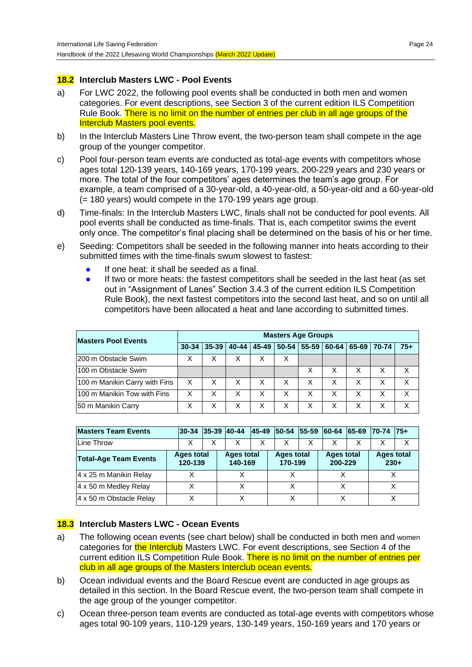#### **18.2 Interclub Masters LWC - Pool Events**

- a) For LWC 2022, the following pool events shall be conducted in both men and women categories. For event descriptions, see Section 3 of the current edition ILS Competition Rule Book. There is no limit on the number of entries per club in all age groups of the Interclub Masters pool events.
- b) In the Interclub Masters Line Throw event, the two-person team shall compete in the age group of the younger competitor.
- c) Pool four-person team events are conducted as total-age events with competitors whose ages total 120-139 years, 140-169 years, 170-199 years, 200-229 years and 230 years or more. The total of the four competitors' ages determines the team's age group. For example, a team comprised of a 30-year-old, a 40-year-old, a 50-year-old and a 60-year-old (= 180 years) would compete in the 170-199 years age group.
- d) Time-finals: In the Interclub Masters LWC, finals shall not be conducted for pool events. All pool events shall be conducted as time-finals. That is, each competitor swims the event only once. The competitor's final placing shall be determined on the basis of his or her time.
- e) Seeding: Competitors shall be seeded in the following manner into heats according to their submitted times with the time-finals swum slowest to fastest:
	- If one heat: it shall be seeded as a final.
	- If two or more heats: the fastest competitors shall be seeded in the last heat (as set out in "Assignment of Lanes" Section 3.4.3 of the current edition ILS Competition Rule Book), the next fastest competitors into the second last heat, and so on until all competitors have been allocated a heat and lane according to submitted times.

| <b>Masters Pool Events</b>    | <b>Masters Age Groups</b> |            |   |                       |   |           |           |   |             |       |
|-------------------------------|---------------------------|------------|---|-----------------------|---|-----------|-----------|---|-------------|-------|
|                               | $30 - 34$                 | $135 - 39$ |   | 40-44   45-49   50-54 |   | $55 - 59$ | $60 - 64$ |   | 65-69 70-74 | $75+$ |
| 1200 m Obstacle Swim          | x                         | х          | X |                       | х |           |           |   |             |       |
| 100 m Obstacle Swim           |                           |            |   |                       |   | x         |           | x |             | X     |
| 100 m Manikin Carry with Fins | X                         | X          | X | Χ                     | X |           | х         | X |             | х     |
| 1100 m Manikin Tow with Fins  | X                         | Χ          | x | Χ                     | X | Χ         | X         | X |             | X     |
| 50 m Manikin Carry            | х                         | Χ          | X | Χ                     | X | X         | х         | х |             | x     |

| <b>Masters Team Events</b>   |  |                       | 30-34 35-39 40-44 |                              | 45-49  50-54  55-59  60-64  65-69 |                       |  |                              | $ 70-74 $ $ 75+$ |                             |   |
|------------------------------|--|-----------------------|-------------------|------------------------------|-----------------------------------|-----------------------|--|------------------------------|------------------|-----------------------------|---|
| lLine Throw                  |  |                       | х                 | X                            |                                   | X                     |  |                              |                  |                             | X |
| <b>Total-Age Team Events</b> |  | Ages total<br>120-139 |                   | <b>Ages total</b><br>140-169 |                                   | Ages total<br>170-199 |  | <b>Ages total</b><br>200-229 |                  | <b>Ages total</b><br>$230+$ |   |
| 4 x 25 m Manikin Relay       |  |                       |                   |                              |                                   |                       |  |                              |                  |                             |   |
| 4 x 50 m Medley Relay        |  |                       |                   |                              |                                   |                       |  |                              |                  |                             |   |
| 4 x 50 m Obstacle Relay      |  |                       |                   |                              |                                   |                       |  |                              |                  |                             |   |

#### **18.3 Interclub Masters LWC - Ocean Events**

- a) The following ocean events (see chart below) shall be conducted in both men and women categories for the Interclub Masters LWC. For event descriptions, see Section 4 of the current edition ILS Competition Rule Book. There is no limit on the number of entries per club in all age groups of the Masters Interclub ocean events.
- b) Ocean individual events and the Board Rescue event are conducted in age groups as detailed in this section. In the Board Rescue event, the two-person team shall compete in the age group of the younger competitor.
- c) Ocean three-person team events are conducted as total-age events with competitors whose ages total 90-109 years, 110-129 years, 130-149 years, 150-169 years and 170 years or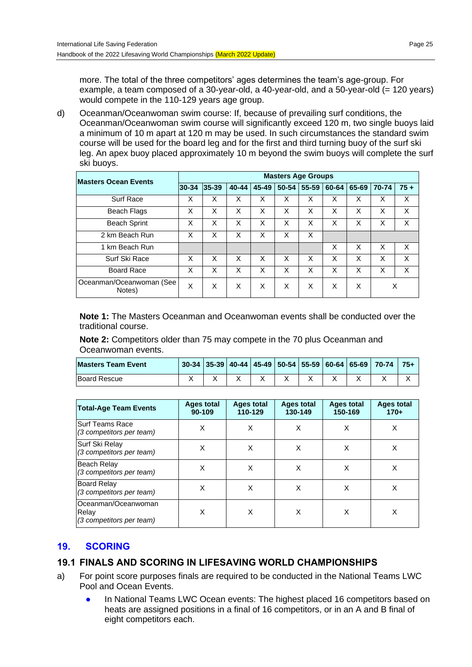more. The total of the three competitors' ages determines the team's age-group. For example, a team composed of a 30-year-old, a 40-year-old, and a 50-year-old (= 120 years) would compete in the 110-129 years age group.

d) Oceanman/Oceanwoman swim course: If, because of prevailing surf conditions, the Oceanman/Oceanwoman swim course will significantly exceed 120 m, two single buoys laid a minimum of 10 m apart at 120 m may be used. In such circumstances the standard swim course will be used for the board leg and for the first and third turning buoy of the surf ski leg. An apex buoy placed approximately 10 m beyond the swim buoys will complete the surf ski buoys.

| <b>Masters Ocean Events</b>        | <b>Masters Age Groups</b> |       |       |       |       |           |       |       |       |       |
|------------------------------------|---------------------------|-------|-------|-------|-------|-----------|-------|-------|-------|-------|
|                                    | $ 30-34$                  | 35-39 | 40-44 | 45-49 | 50-54 | $55 - 59$ | 60-64 | 65-69 | 70-74 | $75+$ |
| Surf Race                          | X                         | X     | X     | X     | X     | X         | X     | X     | X     | X     |
| <b>Beach Flags</b>                 | X                         | X     | X     | X     | X     | X         | X     | X     | X     | X     |
| <b>Beach Sprint</b>                | X                         | X     | X     | X     | X     | X         | X     | X     | X     | X     |
| 2 km Beach Run                     | X                         | X     | X     | X     | X     | X         |       |       |       |       |
| 1 km Beach Run                     |                           |       |       |       |       |           | X     | X     | X     | X     |
| Surf Ski Race                      | X                         | X     | X     | X     | X     | X         | X     | X     | X     | X     |
| <b>Board Race</b>                  | X                         | X     | X     | X     | X     | X         | X     | X     | X     | X     |
| Oceanman/Oceanwoman (See<br>Notes) | X                         | X     | X     | X     | X     | X         | X     | X     | X     |       |

**Note 1:** The Masters Oceanman and Oceanwoman events shall be conducted over the traditional course.

**Note 2:** Competitors older than 75 may compete in the 70 plus Oceanman and Oceanwoman events.

| <b>Masters Team Event</b> |  |  |  |  | 30-34   35-39   40-44   45-49   50-54   55-59   60-64   65-69   70-74 | $75+$ |
|---------------------------|--|--|--|--|-----------------------------------------------------------------------|-------|
| <b>Board Rescue</b>       |  |  |  |  |                                                                       |       |

| <b>Total-Age Team Events</b>                             | Ages total<br>90-109 | <b>Ages total</b><br>110-129 | Ages total<br>130-149 | Ages total<br>150-169 | <b>Ages total</b><br>$170+$ |
|----------------------------------------------------------|----------------------|------------------------------|-----------------------|-----------------------|-----------------------------|
| <b>Surf Teams Race</b><br>(3 competitors per team)       | X                    | X                            | X                     | X                     | X                           |
| Surf Ski Relay<br>(3 competitors per team)               | X                    | X                            | X                     | X                     | X                           |
| Beach Relay<br>(3 competitors per team)                  | X                    | X                            | X                     | X                     | X                           |
| Board Relay<br>(3 competitors per team)                  | X                    | X                            | X                     | X                     | X                           |
| Oceanman/Oceanwoman<br>Relay<br>(3 competitors per team) | X                    | X                            | X                     | X                     | X                           |

## **19. SCORING**

## **19.1 FINALS AND SCORING IN LIFESAVING WORLD CHAMPIONSHIPS**

- a) For point score purposes finals are required to be conducted in the National Teams LWC Pool and Ocean Events.
	- In National Teams LWC Ocean events: The highest placed 16 competitors based on heats are assigned positions in a final of 16 competitors, or in an A and B final of eight competitors each.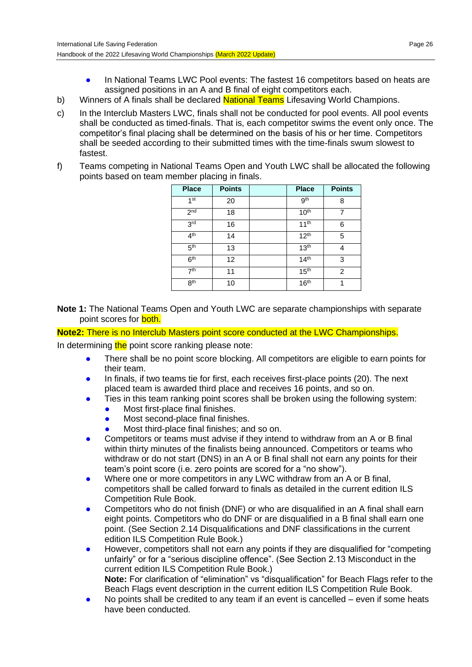- In National Teams LWC Pool events: The fastest 16 competitors based on heats are assigned positions in an A and B final of eight competitors each.
- b) Winners of A finals shall be declared **National Teams** Lifesaving World Champions.
- c) In the Interclub Masters LWC, finals shall not be conducted for pool events. All pool events shall be conducted as timed-finals. That is, each competitor swims the event only once. The competitor's final placing shall be determined on the basis of his or her time. Competitors shall be seeded according to their submitted times with the time-finals swum slowest to fastest.
- f) Teams competing in National Teams Open and Youth LWC shall be allocated the following points based on team member placing in finals.

| <b>Place</b>    | <b>Points</b> | <b>Place</b>     | <b>Points</b> |
|-----------------|---------------|------------------|---------------|
| 1 <sup>st</sup> | 20            | gth              | 8             |
| 2 <sub>nd</sub> | 18            | 10 <sup>th</sup> |               |
| 3 <sup>rd</sup> | 16            | $11^{th}$        | 6             |
| 4 <sup>th</sup> | 14            | 12 <sup>th</sup> | 5             |
| 5 <sup>th</sup> | 13            | 13 <sup>th</sup> | 4             |
| 6 <sup>th</sup> | 12            | 14 <sup>th</sup> | 3             |
| 7 <sup>th</sup> | 11            | 15 <sup>th</sup> | 2             |
| 8 <sup>th</sup> | 10            | 16 <sup>th</sup> | 1             |

**Note 1:** The National Teams Open and Youth LWC are separate championships with separate point scores for **both.** 

**Note2:** There is no Interclub Masters point score conducted at the LWC Championships.

In determining the point score ranking please note:

- There shall be no point score blocking. All competitors are eligible to earn points for their team.
- In finals, if two teams tie for first, each receives first-place points (20). The next placed team is awarded third place and receives 16 points, and so on.
- Ties in this team ranking point scores shall be broken using the following system:
	- Most first-place final finishes.
	- Most second-place final finishes.
	- Most third-place final finishes; and so on.
- Competitors or teams must advise if they intend to withdraw from an A or B final within thirty minutes of the finalists being announced. Competitors or teams who withdraw or do not start (DNS) in an A or B final shall not earn any points for their team's point score (i.e. zero points are scored for a "no show").
- Where one or more competitors in any LWC withdraw from an A or B final, competitors shall be called forward to finals as detailed in the current edition ILS Competition Rule Book.
- Competitors who do not finish (DNF) or who are disqualified in an A final shall earn eight points. Competitors who do DNF or are disqualified in a B final shall earn one point. (See Section 2.14 Disqualifications and DNF classifications in the current edition ILS Competition Rule Book.)
- However, competitors shall not earn any points if they are disqualified for "competing" unfairly" or for a "serious discipline offence". (See Section 2.13 Misconduct in the current edition ILS Competition Rule Book.) **Note:** For clarification of "elimination" vs "disqualification" for Beach Flags refer to the Beach Flags event description in the current edition ILS Competition Rule Book.
- No points shall be credited to any team if an event is cancelled  $-$  even if some heats have been conducted.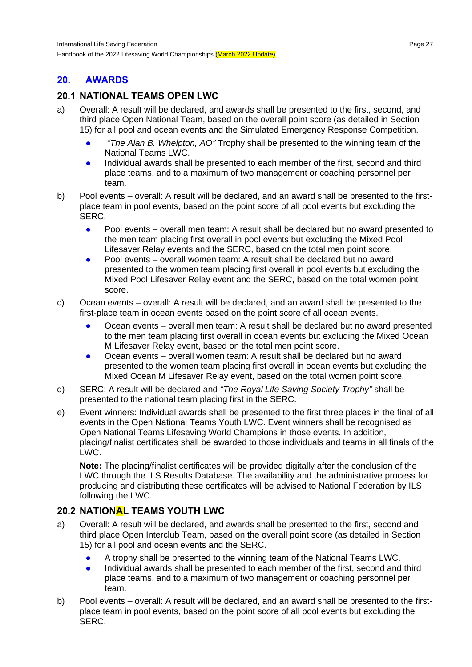## **20. AWARDS**

## **20.1 NATIONAL TEAMS OPEN LWC**

- a) Overall: A result will be declared, and awards shall be presented to the first, second, and third place Open National Team, based on the overall point score (as detailed in Section 15) for all pool and ocean events and the Simulated Emergency Response Competition.
	- *"The Alan B. Whelpton, AO"* Trophy shall be presented to the winning team of the National Teams LWC.
	- Individual awards shall be presented to each member of the first, second and third place teams, and to a maximum of two management or coaching personnel per team.
- b) Pool events overall: A result will be declared, and an award shall be presented to the firstplace team in pool events, based on the point score of all pool events but excluding the SERC.
	- Pool events overall men team: A result shall be declared but no award presented to the men team placing first overall in pool events but excluding the Mixed Pool Lifesaver Relay events and the SERC, based on the total men point score.
	- Pool events overall women team: A result shall be declared but no award presented to the women team placing first overall in pool events but excluding the Mixed Pool Lifesaver Relay event and the SERC, based on the total women point score.
- c) Ocean events overall: A result will be declared, and an award shall be presented to the first-place team in ocean events based on the point score of all ocean events.
	- Ocean events overall men team: A result shall be declared but no award presented to the men team placing first overall in ocean events but excluding the Mixed Ocean M Lifesaver Relay event, based on the total men point score.
	- Ocean events overall women team: A result shall be declared but no award presented to the women team placing first overall in ocean events but excluding the Mixed Ocean M Lifesaver Relay event, based on the total women point score.
- d) SERC: A result will be declared and *"The Royal Life Saving Society Trophy"* shall be presented to the national team placing first in the SERC.
- e) Event winners: Individual awards shall be presented to the first three places in the final of all events in the Open National Teams Youth LWC. Event winners shall be recognised as Open National Teams Lifesaving World Champions in those events. In addition, placing/finalist certificates shall be awarded to those individuals and teams in all finals of the LWC.

**Note:** The placing/finalist certificates will be provided digitally after the conclusion of the LWC through the ILS Results Database. The availability and the administrative process for producing and distributing these certificates will be advised to National Federation by ILS following the LWC.

## **20.2 NATIONAL TEAMS YOUTH LWC**

- a) Overall: A result will be declared, and awards shall be presented to the first, second and third place Open Interclub Team, based on the overall point score (as detailed in Section 15) for all pool and ocean events and the SERC.
	- A trophy shall be presented to the winning team of the National Teams LWC.
	- Individual awards shall be presented to each member of the first, second and third place teams, and to a maximum of two management or coaching personnel per team.
- b) Pool events overall: A result will be declared, and an award shall be presented to the firstplace team in pool events, based on the point score of all pool events but excluding the SERC.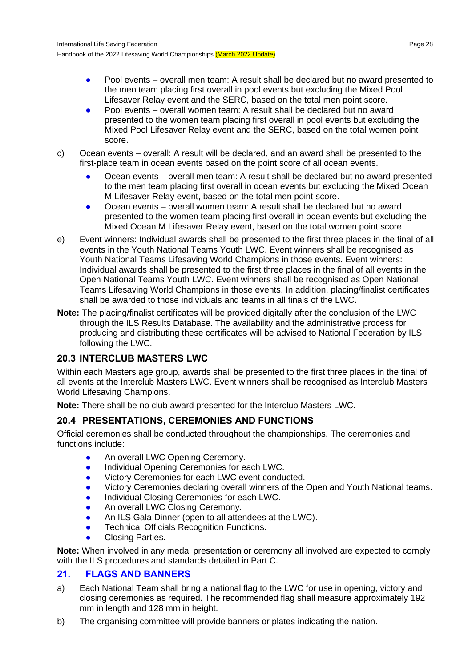- Pool events overall men team: A result shall be declared but no award presented to the men team placing first overall in pool events but excluding the Mixed Pool Lifesaver Relay event and the SERC, based on the total men point score.
- Pool events overall women team: A result shall be declared but no award presented to the women team placing first overall in pool events but excluding the Mixed Pool Lifesaver Relay event and the SERC, based on the total women point score.
- c) Ocean events overall: A result will be declared, and an award shall be presented to the first-place team in ocean events based on the point score of all ocean events.
	- Ocean events overall men team: A result shall be declared but no award presented to the men team placing first overall in ocean events but excluding the Mixed Ocean M Lifesaver Relay event, based on the total men point score.
	- Ocean events overall women team: A result shall be declared but no award presented to the women team placing first overall in ocean events but excluding the Mixed Ocean M Lifesaver Relay event, based on the total women point score.
- e) Event winners: Individual awards shall be presented to the first three places in the final of all events in the Youth National Teams Youth LWC. Event winners shall be recognised as Youth National Teams Lifesaving World Champions in those events. Event winners: Individual awards shall be presented to the first three places in the final of all events in the Open National Teams Youth LWC. Event winners shall be recognised as Open National Teams Lifesaving World Champions in those events. In addition, placing/finalist certificates shall be awarded to those individuals and teams in all finals of the LWC.
- **Note:** The placing/finalist certificates will be provided digitally after the conclusion of the LWC through the ILS Results Database. The availability and the administrative process for producing and distributing these certificates will be advised to National Federation by ILS following the LWC.

# **20.3 INTERCLUB MASTERS LWC**

Within each Masters age group, awards shall be presented to the first three places in the final of all events at the Interclub Masters LWC. Event winners shall be recognised as Interclub Masters World Lifesaving Champions.

**Note:** There shall be no club award presented for the Interclub Masters LWC.

# **20.4 PRESENTATIONS, CEREMONIES AND FUNCTIONS**

Official ceremonies shall be conducted throughout the championships. The ceremonies and functions include:

- **An overall LWC Opening Ceremony.**
- **•** Individual Opening Ceremonies for each LWC.
- Victory Ceremonies for each LWC event conducted.
- Victory Ceremonies declaring overall winners of the Open and Youth National teams.
- Individual Closing Ceremonies for each LWC.
- An overall LWC Closing Ceremony.
- An ILS Gala Dinner (open to all attendees at the LWC).
- **Technical Officials Recognition Functions.**
- **Closing Parties.**

**Note:** When involved in any medal presentation or ceremony all involved are expected to comply with the ILS procedures and standards detailed in Part C.

## **21. FLAGS AND BANNERS**

- a) Each National Team shall bring a national flag to the LWC for use in opening, victory and closing ceremonies as required. The recommended flag shall measure approximately 192 mm in length and 128 mm in height.
- b) The organising committee will provide banners or plates indicating the nation.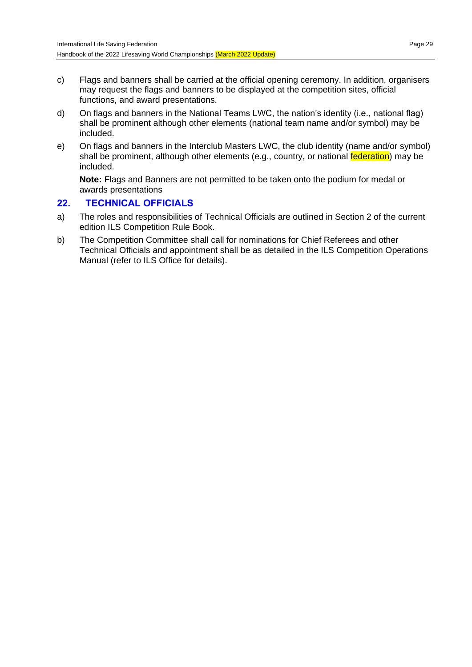- c) Flags and banners shall be carried at the official opening ceremony. In addition, organisers may request the flags and banners to be displayed at the competition sites, official functions, and award presentations.
- d) On flags and banners in the National Teams LWC, the nation's identity (i.e., national flag) shall be prominent although other elements (national team name and/or symbol) may be included.
- e) On flags and banners in the Interclub Masters LWC, the club identity (name and/or symbol) shall be prominent, although other elements (e.g., country, or national **federation**) may be included.

**Note:** Flags and Banners are not permitted to be taken onto the podium for medal or awards presentations

#### **22. TECHNICAL OFFICIALS**

- a) The roles and responsibilities of Technical Officials are outlined in Section 2 of the current edition ILS Competition Rule Book.
- b) The Competition Committee shall call for nominations for Chief Referees and other Technical Officials and appointment shall be as detailed in the ILS Competition Operations Manual (refer to ILS Office for details).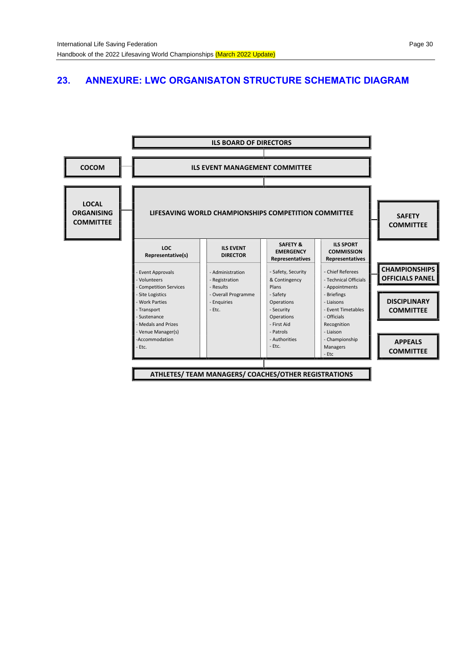## **23. ANNEXURE: LWC ORGANISATON STRUCTURE SCHEMATIC DIAGRAM**

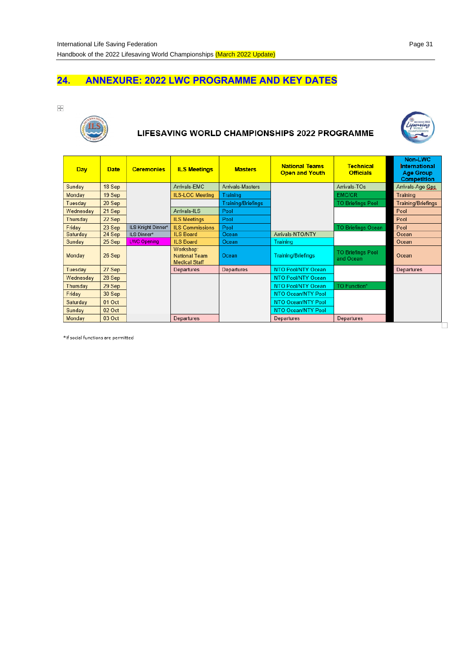## **24. ANNEXURE: 2022 LWC PROGRAMME AND KEY DATES**

 $\stackrel{\bullet}{\rightarrow}$ 



## LIFESAVING WORLD CHAMPIONSHIPS 2022 PROGRAMME



| Day       | <b>Date</b> | <b>Ceremonies</b>  | <b>ILS Meetings</b>                                       | <b>Masters</b>            | <b>National Teams</b><br><b>Open and Youth</b> | <b>Technical</b><br><b>Officials</b>  | Non-LWC<br>International<br><b>Age Group</b><br><b>Competition</b> |
|-----------|-------------|--------------------|-----------------------------------------------------------|---------------------------|------------------------------------------------|---------------------------------------|--------------------------------------------------------------------|
| Sunday    | 18 Sep      |                    | Arrivals-EMC                                              | Arrivals-Masters          |                                                | Arrivals-TOs                          | Arrivals-Age Gps                                                   |
| Monday    | 19 Sep      |                    | <b>ILS-LOC Meeting</b>                                    | <b>Training</b>           |                                                | EMC/CR                                | Training                                                           |
| Tuesday   | 20 Sep      |                    |                                                           | <b>Training/Briefings</b> |                                                | <b>TO Briefings Pool</b>              | <b>Training/Briefings</b>                                          |
| Wednesday | 21 Sep      |                    | Arrivals-ILS                                              | Pool                      |                                                |                                       | Pool                                                               |
| Thursday  | 22 Sep      |                    | <b>ILS Meetings</b>                                       | Pool                      |                                                |                                       | Pool                                                               |
| Friday    | 23 Sep      | ILS Knight Dinner* | <b>ILS Commissions</b>                                    | Pool                      |                                                | <b>TO Briefings Ocean</b>             | Pool                                                               |
| Saturday  | 24 Sep      | ILS Dinner*        | <b>ILS Board</b>                                          | Ocean                     | Arrivals-NTO/NTY                               |                                       | Ocean                                                              |
| Sunday    | 25 Sep      | <b>LWC Opening</b> | <b>ILS Board</b>                                          | Ocean                     | Training                                       |                                       | Ocean                                                              |
| Monday    | 26 Sep      |                    | Workshop:<br><b>National Team</b><br><b>Medical Staff</b> | Ocean                     | <b>Training/Briefings</b>                      | <b>TO Briefings Pool</b><br>and Ocean | Ocean                                                              |
| Tuesday   | 27 Sep      |                    | Departures                                                | Departures                | NTO Pool/NTY Ocean                             |                                       | Departures                                                         |
| Wednesday | 28 Sep      |                    |                                                           |                           | NTO Pool/NTY Ocean                             |                                       |                                                                    |
| Thursday  | 29 Sep      |                    |                                                           |                           | NTO Pool/NTY Ocean                             | <b>TO Function*</b>                   |                                                                    |
| Friday    | 30 Sep      |                    |                                                           |                           | NTO Ocean/NTY Pool                             |                                       |                                                                    |
| Saturday  | 01 Oct      |                    |                                                           |                           | NTO Ocean/NTY Pool                             |                                       |                                                                    |
| Sunday    | 02 Oct      |                    |                                                           |                           | NTO Ocean/NTY Pool                             |                                       |                                                                    |
| Monday    | 03 Oct      |                    | Departures                                                |                           | Departures                                     | Departures                            |                                                                    |
|           |             |                    |                                                           |                           |                                                |                                       |                                                                    |

\*If social functions are permitted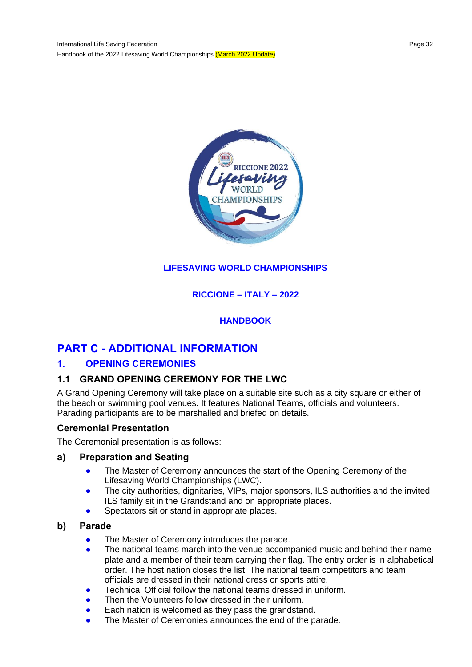

## **LIFESAVING WORLD CHAMPIONSHIPS**

#### **RICCIONE – ITALY – 2022**

#### **HANDBOOK**

# **PART C - ADDITIONAL INFORMATION**

#### **1. OPENING CEREMONIES**

## **1.1 GRAND OPENING CEREMONY FOR THE LWC**

A Grand Opening Ceremony will take place on a suitable site such as a city square or either of the beach or swimming pool venues. It features National Teams, officials and volunteers. Parading participants are to be marshalled and briefed on details.

#### **Ceremonial Presentation**

The Ceremonial presentation is as follows:

#### **a) Preparation and Seating**

- **•** The Master of Ceremony announces the start of the Opening Ceremony of the Lifesaving World Championships (LWC).
- The city authorities, dignitaries, VIPs, major sponsors, ILS authorities and the invited ILS family sit in the Grandstand and on appropriate places.
- Spectators sit or stand in appropriate places.

#### **b) Parade**

- The Master of Ceremony introduces the parade.
- The national teams march into the venue accompanied music and behind their name plate and a member of their team carrying their flag. The entry order is in alphabetical order. The host nation closes the list. The national team competitors and team officials are dressed in their national dress or sports attire.
- Technical Official follow the national teams dressed in uniform.
- Then the Volunteers follow dressed in their uniform.
- Each nation is welcomed as they pass the grandstand.
- The Master of Ceremonies announces the end of the parade.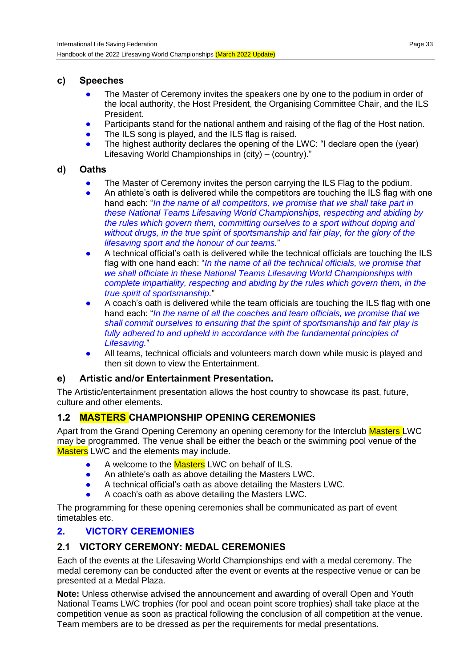## **c) Speeches**

- The Master of Ceremony invites the speakers one by one to the podium in order of the local authority, the Host President, the Organising Committee Chair, and the ILS President.
- Participants stand for the national anthem and raising of the flag of the Host nation.
- The ILS song is played, and the ILS flag is raised.
- The highest authority declares the opening of the LWC: "I declare open the (year) Lifesaving World Championships in (city) – (country)."

## **d) Oaths**

- The Master of Ceremony invites the person carrying the ILS Flag to the podium.
- An athlete's oath is delivered while the competitors are touching the ILS flag with one hand each: "*In the name of all competitors, we promise that we shall take part in these National Teams Lifesaving World Championships, respecting and abiding by the rules which govern them, committing ourselves to a sport without doping and without drugs, in the true spirit of sportsmanship and fair play, for the glory of the lifesaving sport and the honour of our teams.*"
- A technical official's oath is delivered while the technical officials are touching the ILS flag with one hand each: "*In the name of all the technical officials, we promise that we shall officiate in these National Teams Lifesaving World Championships with complete impartiality, respecting and abiding by the rules which govern them, in the true spirit of sportsmanship.*"
- A coach's oath is delivered while the team officials are touching the ILS flag with one hand each: "*In the name of all the coaches and team officials, we promise that we shall commit ourselves to ensuring that the spirit of sportsmanship and fair play is*  fully adhered to and upheld in accordance with the fundamental principles of *Lifesaving.*"
- All teams, technical officials and volunteers march down while music is played and then sit down to view the Entertainment.

## **e) Artistic and/or Entertainment Presentation.**

The Artistic/entertainment presentation allows the host country to showcase its past, future, culture and other elements.

## **1.2 MASTERS CHAMPIONSHIP OPENING CEREMONIES**

Apart from the Grand Opening Ceremony an opening ceremony for the Interclub Masters LWC may be programmed. The venue shall be either the beach or the swimming pool venue of the **Masters** LWC and the elements may include.

- A welcome to the Masters LWC on behalf of ILS.
- An athlete's oath as above detailing the Masters LWC.
- A technical official's oath as above detailing the Masters LWC.
- A coach's oath as above detailing the Masters LWC.

The programming for these opening ceremonies shall be communicated as part of event timetables etc.

## **2. VICTORY CEREMONIES**

## **2.1 VICTORY CEREMONY: MEDAL CEREMONIES**

Each of the events at the Lifesaving World Championships end with a medal ceremony. The medal ceremony can be conducted after the event or events at the respective venue or can be presented at a Medal Plaza.

**Note:** Unless otherwise advised the announcement and awarding of overall Open and Youth National Teams LWC trophies (for pool and ocean point score trophies) shall take place at the competition venue as soon as practical following the conclusion of all competition at the venue. Team members are to be dressed as per the requirements for medal presentations.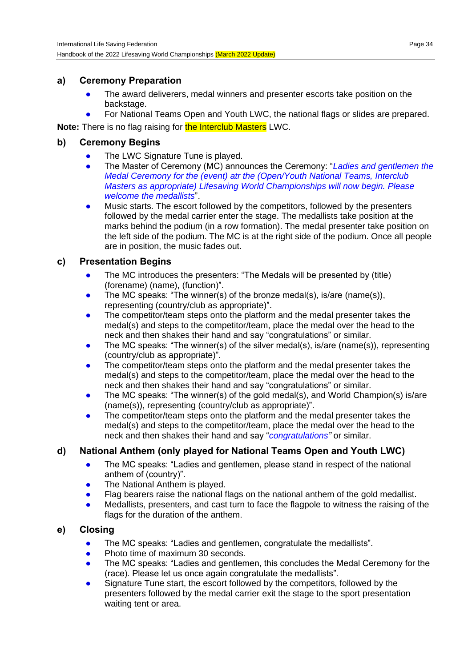#### **a) Ceremony Preparation**

- The award deliverers, medal winners and presenter escorts take position on the backstage.
- For National Teams Open and Youth LWC, the national flags or slides are prepared.

**Note:** There is no flag raising for **the Interclub Masters** LWC.

## **b) Ceremony Begins**

- The LWC Signature Tune is played.
- The Master of Ceremony (MC) announces the Ceremony: "*Ladies and gentlemen the Medal Ceremony for the (event) atr the (Open/Youth National Teams, Interclub Masters as appropriate) Lifesaving World Championships will now begin. Please welcome the medallists*".
- Music starts. The escort followed by the competitors, followed by the presenters followed by the medal carrier enter the stage. The medallists take position at the marks behind the podium (in a row formation). The medal presenter take position on the left side of the podium. The MC is at the right side of the podium. Once all people are in position, the music fades out.

## **c) Presentation Begins**

- The MC introduces the presenters: "The Medals will be presented by (title) (forename) (name), (function)".
- The MC speaks: "The winner(s) of the bronze medal(s), is/are (name(s)), representing (country/club as appropriate)".
- The competitor/team steps onto the platform and the medal presenter takes the medal(s) and steps to the competitor/team, place the medal over the head to the neck and then shakes their hand and say "congratulations" or similar.
- The MC speaks: "The winner(s) of the silver medal(s), is/are (name(s)), representing (country/club as appropriate)".
- The competitor/team steps onto the platform and the medal presenter takes the medal(s) and steps to the competitor/team, place the medal over the head to the neck and then shakes their hand and say "congratulations" or similar.
- The MC speaks: "The winner(s) of the gold medal(s), and World Champion(s) is/are (name(s)), representing (country/club as appropriate)".
- The competitor/team steps onto the platform and the medal presenter takes the medal(s) and steps to the competitor/team, place the medal over the head to the neck and then shakes their hand and say "*congratulations"* or similar.

# **d) National Anthem (only played for National Teams Open and Youth LWC)**

- The MC speaks: "Ladies and gentlemen, please stand in respect of the national anthem of (country)".
- The National Anthem is played.
- Flag bearers raise the national flags on the national anthem of the gold medallist.
- Medallists, presenters, and cast turn to face the flagpole to witness the raising of the flags for the duration of the anthem.

## **e) Closing**

- The MC speaks: "Ladies and gentlemen, congratulate the medallists".
- Photo time of maximum 30 seconds.
- The MC speaks: "Ladies and gentlemen, this concludes the Medal Ceremony for the (race). Please let us once again congratulate the medallists".
- Signature Tune start, the escort followed by the competitors, followed by the presenters followed by the medal carrier exit the stage to the sport presentation waiting tent or area.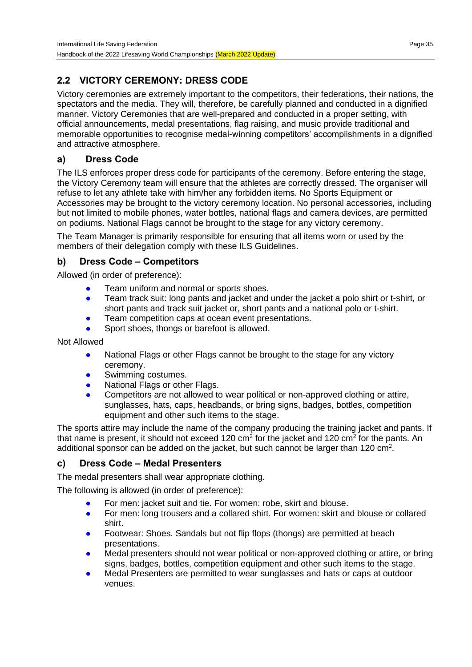# **2.2 VICTORY CEREMONY: DRESS CODE**

Victory ceremonies are extremely important to the competitors, their federations, their nations, the spectators and the media. They will, therefore, be carefully planned and conducted in a dignified manner. Victory Ceremonies that are well-prepared and conducted in a proper setting, with official announcements, medal presentations, flag raising, and music provide traditional and memorable opportunities to recognise medal-winning competitors' accomplishments in a dignified and attractive atmosphere.

## **a) Dress Code**

The ILS enforces proper dress code for participants of the ceremony. Before entering the stage, the Victory Ceremony team will ensure that the athletes are correctly dressed. The organiser will refuse to let any athlete take with him/her any forbidden items. No Sports Equipment or Accessories may be brought to the victory ceremony location. No personal accessories, including but not limited to mobile phones, water bottles, national flags and camera devices, are permitted on podiums. National Flags cannot be brought to the stage for any victory ceremony.

The Team Manager is primarily responsible for ensuring that all items worn or used by the members of their delegation comply with these ILS Guidelines.

## **b) Dress Code – Competitors**

Allowed (in order of preference):

- Team uniform and normal or sports shoes.
- Team track suit: long pants and jacket and under the jacket a polo shirt or t-shirt, or short pants and track suit jacket or, short pants and a national polo or t-shirt.
- Team competition caps at ocean event presentations.
- Sport shoes, thongs or barefoot is allowed.

Not Allowed

- National Flags or other Flags cannot be brought to the stage for any victory ceremony.
- Swimming costumes.
- National Flags or other Flags.
- Competitors are not allowed to wear political or non-approved clothing or attire, sunglasses, hats, caps, headbands, or bring signs, badges, bottles, competition equipment and other such items to the stage.

The sports attire may include the name of the company producing the training jacket and pants. If that name is present, it should not exceed 120 cm<sup>2</sup> for the jacket and 120 cm<sup>2</sup> for the pants. An additional sponsor can be added on the jacket, but such cannot be larger than 120 cm<sup>2</sup>.

## **c) Dress Code – Medal Presenters**

The medal presenters shall wear appropriate clothing.

The following is allowed (in order of preference):

- For men: jacket suit and tie. For women: robe, skirt and blouse.
- For men: long trousers and a collared shirt. For women: skirt and blouse or collared shirt.
- Footwear: Shoes. Sandals but not flip flops (thongs) are permitted at beach presentations.
- Medal presenters should not wear political or non-approved clothing or attire, or bring signs, badges, bottles, competition equipment and other such items to the stage.
- Medal Presenters are permitted to wear sunglasses and hats or caps at outdoor venues.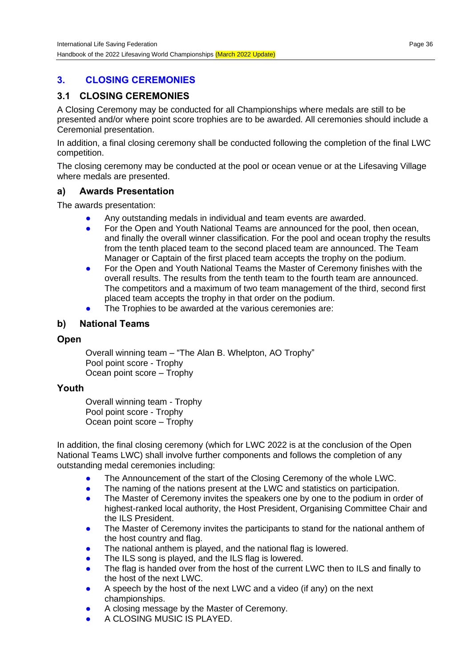## **3. CLOSING CEREMONIES**

## **3.1 CLOSING CEREMONIES**

A Closing Ceremony may be conducted for all Championships where medals are still to be presented and/or where point score trophies are to be awarded. All ceremonies should include a Ceremonial presentation.

In addition, a final closing ceremony shall be conducted following the completion of the final LWC competition.

The closing ceremony may be conducted at the pool or ocean venue or at the Lifesaving Village where medals are presented.

#### **a) Awards Presentation**

The awards presentation:

- Any outstanding medals in individual and team events are awarded.
- For the Open and Youth National Teams are announced for the pool, then ocean, and finally the overall winner classification. For the pool and ocean trophy the results from the tenth placed team to the second placed team are announced. The Team Manager or Captain of the first placed team accepts the trophy on the podium.
- For the Open and Youth National Teams the Master of Ceremony finishes with the overall results. The results from the tenth team to the fourth team are announced. The competitors and a maximum of two team management of the third, second first placed team accepts the trophy in that order on the podium.
- The Trophies to be awarded at the various ceremonies are:

#### **b) National Teams**

#### **Open**

Overall winning team – "The Alan B. Whelpton, AO Trophy" Pool point score - Trophy Ocean point score – Trophy

#### **Youth**

Overall winning team - Trophy Pool point score - Trophy Ocean point score – Trophy

In addition, the final closing ceremony (which for LWC 2022 is at the conclusion of the Open National Teams LWC) shall involve further components and follows the completion of any outstanding medal ceremonies including:

- The Announcement of the start of the Closing Ceremony of the whole LWC.
- The naming of the nations present at the LWC and statistics on participation.
- The Master of Ceremony invites the speakers one by one to the podium in order of highest-ranked local authority, the Host President, Organising Committee Chair and the ILS President.
- The Master of Ceremony invites the participants to stand for the national anthem of the host country and flag.
- The national anthem is played, and the national flag is lowered.
- The ILS song is played, and the ILS flag is lowered.
- The flag is handed over from the host of the current LWC then to ILS and finally to the host of the next LWC.
- A speech by the host of the next LWC and a video (if any) on the next championships.
- A closing message by the Master of Ceremony.
- A CLOSING MUSIC IS PLAYED.